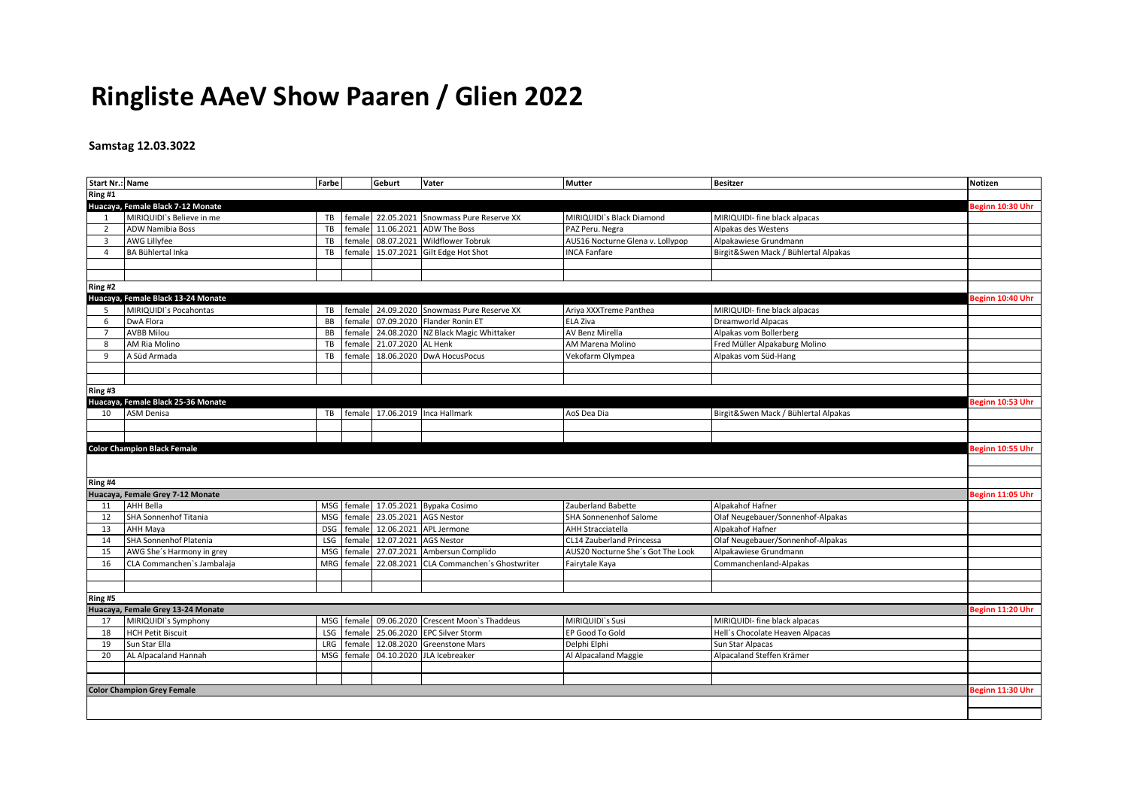## **Ringliste AAeV Show Paaren / Glien 2022**

## **Samstag 12.03.3022**

| <b>Start Nr.: Name</b> |                                    | Farbe      |        | Geburt                    | Vater                                          | Mutter                            | <b>Besitzer</b>                      | <b>Notizen</b>   |
|------------------------|------------------------------------|------------|--------|---------------------------|------------------------------------------------|-----------------------------------|--------------------------------------|------------------|
| Ring #1                |                                    |            |        |                           |                                                |                                   |                                      |                  |
|                        | Huacaya, Female Black 7-12 Monate  |            |        |                           |                                                |                                   |                                      | Beginn 10:30 Uhr |
| 1                      | MIRIQUIDI's Believe in me          | TB         |        |                           | female 22.05.2021 Snowmass Pure Reserve XX     | MIRIQUIDI's Black Diamond         | MIRIQUIDI- fine black alpacas        |                  |
| $\overline{2}$         | <b>ADW Namibia Boss</b>            | TB         | female |                           | 11.06.2021 ADW The Boss                        | PAZ Peru. Negra                   | Alpakas des Westens                  |                  |
| $\overline{3}$         | AWG Lillyfee                       | TB         | female |                           | 08.07.2021 Wildflower Tobruk                   | AUS16 Nocturne Glena v. Lollypop  | Alpakawiese Grundmann                |                  |
| 4                      | BA Bühlertal Inka                  | TB         | female |                           | 15.07.2021 Gilt Edge Hot Shot                  | <b>INCA Fanfare</b>               | Birgit&Swen Mack / Bühlertal Alpakas |                  |
|                        |                                    |            |        |                           |                                                |                                   |                                      |                  |
|                        |                                    |            |        |                           |                                                |                                   |                                      |                  |
| Ring #2                |                                    |            |        |                           |                                                |                                   |                                      |                  |
|                        | Huacaya, Female Black 13-24 Monate |            |        |                           |                                                |                                   |                                      | Beginn 10:40 Uhr |
| -5                     | MIRIQUIDI's Pocahontas             | TB         | female |                           | 24.09.2020 Snowmass Pure Reserve XX            | Ariya XXXTreme Panthea            | MIRIQUIDI- fine black alpacas        |                  |
| 6                      | DwA Flora                          | BB         | female |                           | 07.09.2020 Flander Ronin ET                    | ELA Ziva                          | <b>Dreamworld Alpacas</b>            |                  |
| $\overline{7}$         | <b>AVBB Milou</b>                  | BB         | female |                           | 24.08.2020 NZ Black Magic Whittaker            | AV Benz Mirella                   | Alpakas vom Bollerberg               |                  |
| 8                      | AM Ria Molino                      | TB         |        | female 21.07.2020 AL Henk |                                                | AM Marena Molino                  | Fred Müller Alpakaburg Molino        |                  |
| 9                      | A Süd Armada                       | TB         | female |                           | 18.06.2020 DwA HocusPocus                      | Vekofarm Olympea                  | Alpakas vom Süd-Hang                 |                  |
|                        |                                    |            |        |                           |                                                |                                   |                                      |                  |
|                        |                                    |            |        |                           |                                                |                                   |                                      |                  |
| Ring#3                 |                                    |            |        |                           |                                                |                                   |                                      |                  |
|                        | Huacaya, Female Black 25-36 Monate |            |        |                           |                                                |                                   |                                      | Beginn 10:53 Uhr |
| 10                     | <b>ASM Denisa</b>                  |            |        |                           | TB female 17.06.2019 Inca Hallmark             | AoS Dea Dia                       | Birgit&Swen Mack / Bühlertal Alpakas |                  |
|                        |                                    |            |        |                           |                                                |                                   |                                      |                  |
|                        |                                    |            |        |                           |                                                |                                   |                                      |                  |
|                        | <b>Color Champion Black Female</b> |            |        |                           |                                                |                                   |                                      | Beginn 10:55 Uhr |
|                        |                                    |            |        |                           |                                                |                                   |                                      |                  |
|                        |                                    |            |        |                           |                                                |                                   |                                      |                  |
| Ring #4                |                                    |            |        |                           |                                                |                                   |                                      |                  |
|                        | Huacaya, Female Grey 7-12 Monate   |            |        |                           |                                                |                                   |                                      | Beginn 11:05 Uhr |
| 11                     | AHH Bella                          | MSG        |        |                           | female 17.05.2021 Bypaka Cosimo                | Zauberland Babette                | Alpakahof Hafner                     |                  |
| 12                     | SHA Sonnenhof Titania              | <b>MSG</b> | female | 23.05.2021 AGS Nestor     |                                                | SHA Sonnenenhof Salome            | Olaf Neugebauer/Sonnenhof-Alpakas    |                  |
| 13                     | <b>AHH Maya</b>                    | <b>DSG</b> | female |                           | 12.06.2021 APL Jermone                         | <b>AHH Stracciatella</b>          | Alpakahof Hafner                     |                  |
| 14                     | <b>SHA Sonnenhof Platenia</b>      | LSG        | female | 12.07.2021 AGS Nestor     |                                                | CL14 Zauberland Princessa         | Olaf Neugebauer/Sonnenhof-Alpakas    |                  |
| 15                     | AWG She's Harmony in grey          | <b>MSG</b> | female |                           | 27.07.2021 Ambersun Complido                   | AUS20 Nocturne She's Got The Look | Alpakawiese Grundmann                |                  |
| 16                     | CLA Commanchen's Jambalaja         | MRG        |        |                           | female 22.08.2021 CLA Commanchen's Ghostwriter | Fairytale Kaya                    | Commanchenland-Alpakas               |                  |
|                        |                                    |            |        |                           |                                                |                                   |                                      |                  |
|                        |                                    |            |        |                           |                                                |                                   |                                      |                  |
| Ring #5                |                                    |            |        |                           |                                                |                                   |                                      |                  |
|                        | Huacaya, Female Grey 13-24 Monate  |            |        |                           |                                                |                                   |                                      | Beginn 11:20 Uhr |
| 17                     | MIRIQUIDI's Symphony               | MSG        |        |                           | female 09.06.2020 Crescent Moon's Thaddeus     | MIRIQUIDI`s Susi                  | MIRIQUIDI- fine black alpacas        |                  |
| 18                     | <b>HCH Petit Biscuit</b>           |            |        |                           | LSG   female   25.06.2020   EPC Silver Storm   | EP Good To Gold                   | Hell's Chocolate Heaven Alpacas      |                  |
| 19                     | Sun Star Ella                      | LRG        | female |                           | 12.08.2020 Greenstone Mars                     | Delphi Elphi                      | Sun Star Alpacas                     |                  |
| 20                     | AL Alpacaland Hannah               | MSG        | female |                           | 04.10.2020 JLA Icebreaker                      | Al Alpacaland Maggie              | Alpacaland Steffen Krämer            |                  |
|                        |                                    |            |        |                           |                                                |                                   |                                      |                  |
|                        |                                    |            |        |                           |                                                |                                   |                                      |                  |
|                        | <b>Color Champion Grey Female</b>  |            |        |                           |                                                |                                   |                                      | Beginn 11:30 Uhr |
|                        |                                    |            |        |                           |                                                |                                   |                                      |                  |
|                        |                                    |            |        |                           |                                                |                                   |                                      |                  |
|                        |                                    |            |        |                           |                                                |                                   |                                      |                  |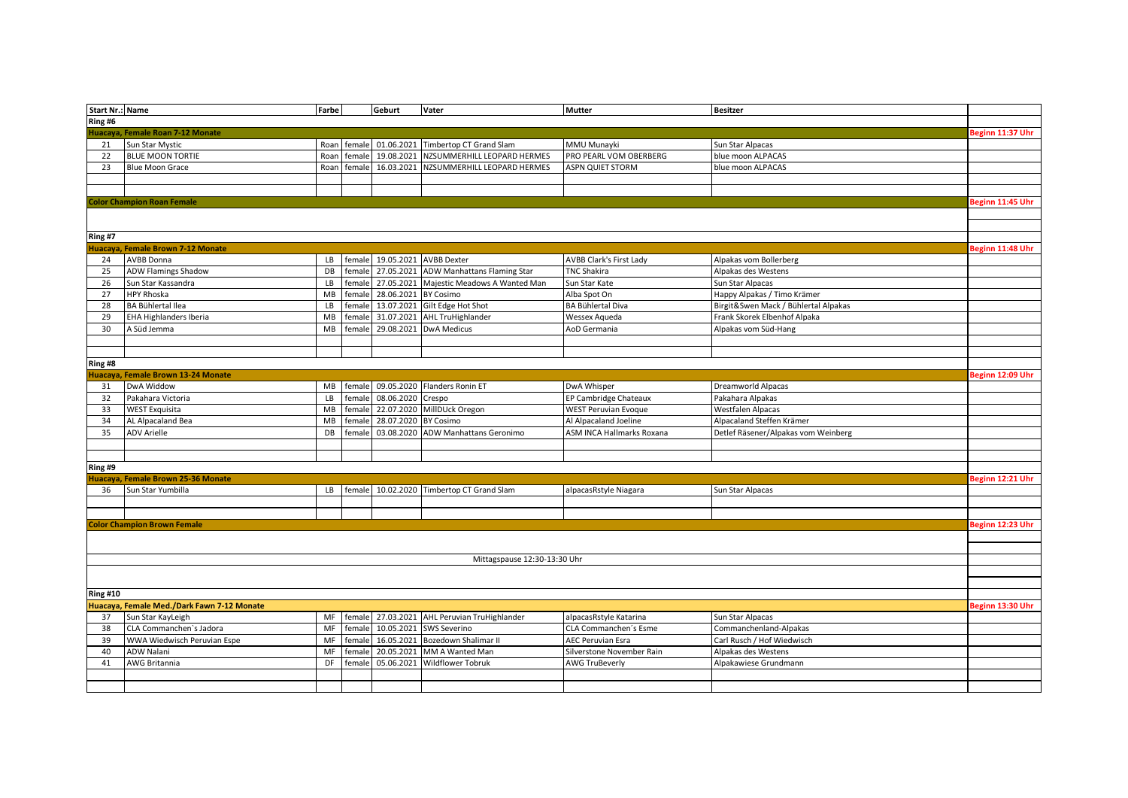| Start Nr.: Name |                                                  | Farbe     |                  | Geburt               | Vater                                    | <b>Mutter</b>                                        | <b>Besitzer</b>                       |                  |
|-----------------|--------------------------------------------------|-----------|------------------|----------------------|------------------------------------------|------------------------------------------------------|---------------------------------------|------------------|
| Ring #6         |                                                  |           |                  |                      |                                          |                                                      |                                       |                  |
|                 | Huacaya, Female Roan 7-12 Monate                 |           |                  |                      |                                          |                                                      |                                       | Beginn 11:37 Uhr |
| 21              | Sun Star Mystic                                  | Roan      | female           |                      | 01.06.2021 Timbertop CT Grand Slam       | MMU Munayki                                          | Sun Star Alpacas                      |                  |
| 22              | <b>BLUE MOON TORTIE</b>                          |           | Roan female      |                      | 19.08.2021 NZSUMMERHILL LEOPARD HERMES   | PRO PEARL VOM OBERBERG                               | blue moon ALPACAS                     |                  |
| 23              | <b>Blue Moon Grace</b>                           | Roan      | female           | 16.03.2021           | NZSUMMERHILL LEOPARD HERMES              | <b>ASPN QUIET STORM</b>                              | blue moon ALPACAS                     |                  |
|                 |                                                  |           |                  |                      |                                          |                                                      |                                       |                  |
|                 |                                                  |           |                  |                      |                                          |                                                      |                                       |                  |
|                 | <b>Color Champion Roan Female</b>                |           |                  |                      |                                          |                                                      |                                       | Beginn 11:45 Uhr |
|                 |                                                  |           |                  |                      |                                          |                                                      |                                       |                  |
|                 |                                                  |           |                  |                      |                                          |                                                      |                                       |                  |
| Ring #7         |                                                  |           |                  |                      |                                          |                                                      |                                       |                  |
|                 | Huacaya, Female Brown 7-12 Monate                |           |                  |                      |                                          |                                                      |                                       | Beginn 11:48 Uhr |
| 24              | AVBB Donna                                       | LB        | female           |                      | 19.05.2021 AVBB Dexter                   | <b>AVBB Clark's First Lady</b>                       | Alpakas vom Bollerberg                |                  |
| 25              | <b>ADW Flamings Shadow</b>                       | DB        | female           |                      | 27.05.2021 ADW Manhattans Flaming Star   | <b>TNC Shakira</b>                                   | Alpakas des Westens                   |                  |
| 26              | Sun Star Kassandra                               | LB        | female           |                      | 27.05.2021 Majestic Meadows A Wanted Man | Sun Star Kate                                        | Sun Star Alpacas                      |                  |
| 27              | <b>HPY Rhoska</b>                                | MB        | female           | 28.06.2021 BY Cosimo |                                          | Alba Spot On                                         | Happy Alpakas / Timo Krämer           |                  |
| 28              | BA Bühlertal Ilea                                | LB        | female           |                      | 13.07.2021 Gilt Edge Hot Shot            | BA Bühlertal Diva                                    | Birgit&Swen Mack / Bühlertal Alpakas  |                  |
| 29              | EHA Highlanders Iberia                           | MB        | female           |                      | 31.07.2021 AHL TruHighlander             | Wessex Aqueda                                        | Frank Skorek Elbenhof Alpaka          |                  |
| 30              | A Süd Jemma                                      | MB        | female           |                      | 29.08.2021 DwA Medicus                   | AoD Germania                                         | Alpakas vom Süd-Hang                  |                  |
|                 |                                                  |           |                  |                      |                                          |                                                      |                                       |                  |
|                 |                                                  |           |                  |                      |                                          |                                                      |                                       |                  |
| Ring #8         |                                                  |           |                  |                      |                                          |                                                      |                                       |                  |
|                 |                                                  |           |                  |                      |                                          |                                                      |                                       | Beginn 12:09 Uhr |
|                 | Huacaya, Female Brown 13-24 Monate<br>DwA Widdow |           |                  |                      |                                          |                                                      |                                       |                  |
| 31              |                                                  |           | MB female        |                      | 09.05.2020 Flanders Ronin ET             | DwA Whisper                                          | Dreamworld Alpacas                    |                  |
| 32<br>33        | Pakahara Victoria<br><b>WEST Exquisita</b>       | LB<br>MB  | female<br>female | 08.06.2020 Crespo    | 22.07.2020 MillDUck Oregon               | EP Cambridge Chateaux<br><b>WEST Peruvian Evoque</b> | Pakahara Alpakas<br>Westfalen Alpacas |                  |
| 34              |                                                  | <b>MB</b> |                  | 28.07.2020 BY Cosimo |                                          | Al Alpacaland Joeline                                |                                       |                  |
|                 | AL Alpacaland Bea                                |           | female           |                      |                                          |                                                      | Alpacaland Steffen Krämer             |                  |
| 35              | <b>ADV Arielle</b>                               | DB        | female           |                      | 03.08.2020 ADW Manhattans Geronimo       | <b>ASM INCA Hallmarks Roxana</b>                     | Detlef Räsener/Alpakas vom Weinberg   |                  |
|                 |                                                  |           |                  |                      |                                          |                                                      |                                       |                  |
|                 |                                                  |           |                  |                      |                                          |                                                      |                                       |                  |
| Ring #9         |                                                  |           |                  |                      |                                          |                                                      |                                       |                  |
|                 | Huacaya, Female Brown 25-36 Monate               |           |                  |                      |                                          |                                                      |                                       | Beginn 12:21 Uhr |
| 36              | Sun Star Yumbilla                                | LB        | female           | 10.02.2020           | Timbertop CT Grand Slam                  | alpacasRstyle Niagara                                | Sun Star Alpacas                      |                  |
|                 |                                                  |           |                  |                      |                                          |                                                      |                                       |                  |
|                 |                                                  |           |                  |                      |                                          |                                                      |                                       |                  |
|                 | <b>Color Champion Brown Female</b>               |           |                  |                      |                                          |                                                      |                                       | Beginn 12:23 Uhr |
|                 |                                                  |           |                  |                      |                                          |                                                      |                                       |                  |
|                 |                                                  |           |                  |                      |                                          |                                                      |                                       |                  |
|                 |                                                  |           |                  |                      | Mittagspause 12:30-13:30 Uhr             |                                                      |                                       |                  |
|                 |                                                  |           |                  |                      |                                          |                                                      |                                       |                  |
|                 |                                                  |           |                  |                      |                                          |                                                      |                                       |                  |
| <b>Ring #10</b> |                                                  |           |                  |                      |                                          |                                                      |                                       |                  |
|                 | Huacaya, Female Med./Dark Fawn 7-12 Monate       |           |                  |                      |                                          |                                                      |                                       | Beginn 13:30 Uhr |
| 37              | Sun Star KayLeigh                                | MF        | female           |                      | 27.03.2021 AHL Peruvian TruHighlander    | alpacasRstyle Katarina                               | Sun Star Alpacas                      |                  |
| 38              | CLA Commanchen's Jadora                          | MF        | female           |                      | 10.05.2021 SWS Severino                  | CLA Commanchen's Esme                                | Commanchenland-Alpakas                |                  |
| 39              | WWA Wiedwisch Peruvian Espe                      | <b>MF</b> | female           |                      | 16.05.2021 Bozedown Shalimar II          | <b>AEC Peruvian Esra</b>                             | Carl Rusch / Hof Wiedwisch            |                  |
| 40              | <b>ADW Nalani</b>                                | MF        | female           | 20.05.2021           | MM A Wanted Man                          | Silverstone November Rain                            | Alpakas des Westens                   |                  |
| 41              | AWG Britannia                                    | DF        | female           | 05.06.2021           | <b>Wildflower Tobruk</b>                 | <b>AWG TruBeverly</b>                                | Alpakawiese Grundmann                 |                  |
|                 |                                                  |           |                  |                      |                                          |                                                      |                                       |                  |
|                 |                                                  |           |                  |                      |                                          |                                                      |                                       |                  |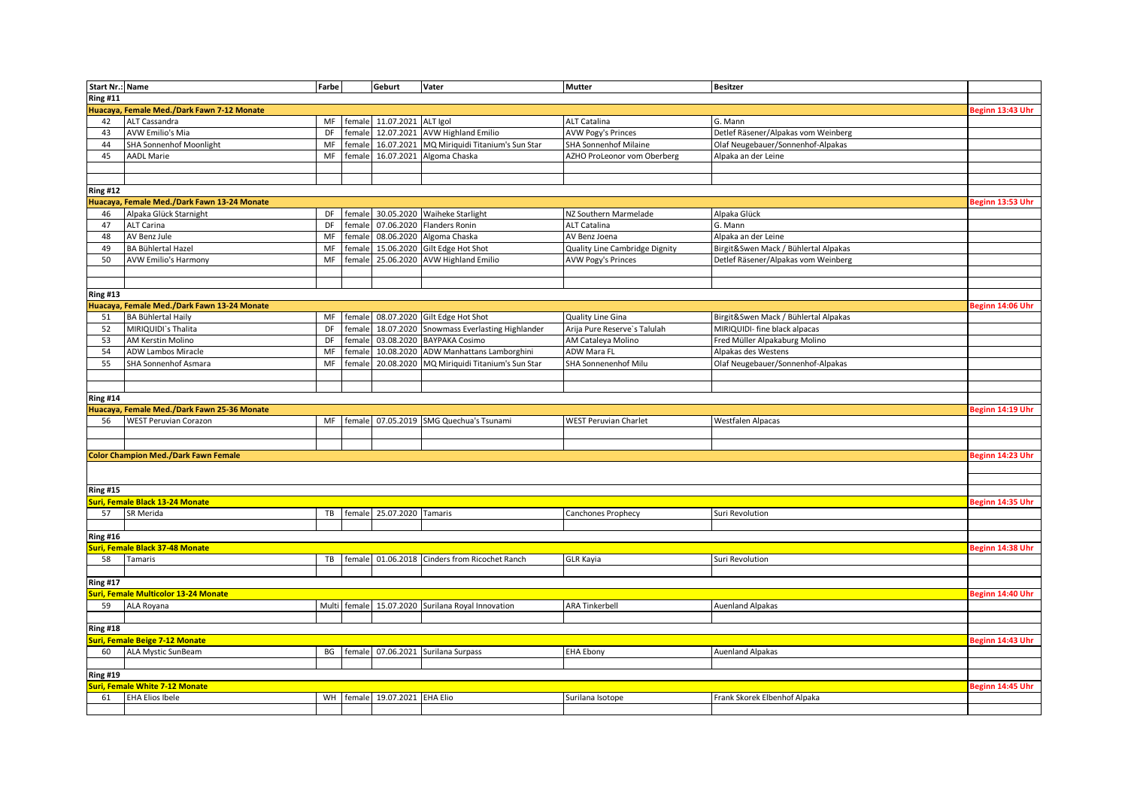| <b>Start Nr.: Name</b> |                                             | Farbe     |           | Geburt                              | Vater                                             | <b>Mutter</b>                  | <b>Besitzer</b>                      |                  |
|------------------------|---------------------------------------------|-----------|-----------|-------------------------------------|---------------------------------------------------|--------------------------------|--------------------------------------|------------------|
| <b>Ring #11</b>        |                                             |           |           |                                     |                                                   |                                |                                      |                  |
|                        | Huacaya, Female Med./Dark Fawn 7-12 Monate  |           |           |                                     |                                                   |                                |                                      | Beginn 13:43 Uhr |
| 42                     | ALT Cassandra                               | MF        |           | female 11.07.2021 ALT Igol          |                                                   | <b>ALT Catalina</b>            | G. Mann                              |                  |
| 43                     | <b>AVW Emilio's Mia</b>                     | <b>DF</b> | female    |                                     | 12.07.2021 AVW Highland Emilio                    | <b>AVW Pogy's Princes</b>      | Detlef Räsener/Alpakas vom Weinberg  |                  |
| 44                     | SHA Sonnenhof Moonlight                     | MF        | female    |                                     | 16.07.2021 MQ Miriquidi Titanium's Sun Star       | SHA Sonnenhof Milaine          | Olaf Neugebauer/Sonnenhof-Alpakas    |                  |
| 45                     | <b>AADL Marie</b>                           | MF        | female    |                                     | 16.07.2021 Algoma Chaska                          | AZHO ProLeonor vom Oberberg    | Alpaka an der Leine                  |                  |
|                        |                                             |           |           |                                     |                                                   |                                |                                      |                  |
|                        |                                             |           |           |                                     |                                                   |                                |                                      |                  |
| <b>Ring #12</b>        |                                             |           |           |                                     |                                                   |                                |                                      |                  |
|                        | Huacaya, Female Med./Dark Fawn 13-24 Monate |           |           |                                     |                                                   |                                |                                      | Beginn 13:53 Uhr |
| 46                     | Alpaka Glück Starnight                      | DF        | female    |                                     | 30.05.2020 Waiheke Starlight                      | NZ Southern Marmelade          | Alpaka Glück                         |                  |
| 47                     | <b>ALT Carina</b>                           | DF        | female    |                                     | 07.06.2020 Flanders Ronin                         | ALT Catalina                   | G. Mann                              |                  |
| 48                     | AV Benz Jule                                | MF        | female    | 08.06.2020                          | Algoma Chaska                                     | AV Benz Joena                  | Alpaka an der Leine                  |                  |
| 49                     | <b>BA Bühlertal Hazel</b>                   | MF        | female    |                                     | 15.06.2020 Gilt Edge Hot Shot                     | Quality Line Cambridge Dignity | Birgit&Swen Mack / Bühlertal Alpakas |                  |
| 50                     | <b>AVW Emilio's Harmony</b>                 | MF        | female    | 25.06.2020                          | <b>AVW Highland Emilio</b>                        | <b>AVW Pogy's Princes</b>      | Detlef Räsener/Alpakas vom Weinberg  |                  |
|                        |                                             |           |           |                                     |                                                   |                                |                                      |                  |
|                        |                                             |           |           |                                     |                                                   |                                |                                      |                  |
| <b>Ring #13</b>        |                                             |           |           |                                     |                                                   |                                |                                      |                  |
|                        |                                             |           |           |                                     |                                                   |                                |                                      | Beginn 14:06 Uhr |
|                        | Huacaya, Female Med./Dark Fawn 13-24 Monate |           |           |                                     |                                                   |                                |                                      |                  |
| 51                     | <b>BA Bühlertal Haily</b>                   | MF<br>DF  |           |                                     | female 08.07.2020 Gilt Edge Hot Shot              | Quality Line Gina              | Birgit&Swen Mack / Bühlertal Alpakas |                  |
| 52                     | MIRIQUIDI's Thalita                         |           | female    |                                     | 18.07.2020 Snowmass Everlasting Highlander        | Arija Pure Reserve's Talulah   | MIRIQUIDI- fine black alpacas        |                  |
| 53                     | AM Kerstin Molino                           | DF        | female    |                                     | 03.08.2020 BAYPAKA Cosimo                         | AM Cataleya Molino             | Fred Müller Alpakaburg Molino        |                  |
| 54                     | ADW Lambos Miracle                          | MF        | female    |                                     | 10.08.2020 ADW Manhattans Lamborghini             | ADW Mara FL                    | Alpakas des Westens                  |                  |
| 55                     | SHA Sonnenhof Asmara                        | MF        | female    |                                     | 20.08.2020 MQ Miriquidi Titanium's Sun Star       | SHA Sonnenenhof Milu           | Olaf Neugebauer/Sonnenhof-Alpakas    |                  |
|                        |                                             |           |           |                                     |                                                   |                                |                                      |                  |
|                        |                                             |           |           |                                     |                                                   |                                |                                      |                  |
| <b>Ring #14</b>        |                                             |           |           |                                     |                                                   |                                |                                      |                  |
|                        | Huacaya, Female Med./Dark Fawn 25-36 Monate |           |           |                                     |                                                   |                                |                                      | Beginn 14:19 Uhr |
| 56                     | <b>WEST Peruvian Corazon</b>                | MF        | female    |                                     | 07.05.2019 SMG Quechua's Tsunami                  | <b>WEST Peruvian Charlet</b>   | Westfalen Alpacas                    |                  |
|                        |                                             |           |           |                                     |                                                   |                                |                                      |                  |
|                        |                                             |           |           |                                     |                                                   |                                |                                      |                  |
|                        | <b>Color Champion Med./Dark Fawn Female</b> |           |           |                                     |                                                   |                                |                                      | Beginn 14:23 Uhr |
|                        |                                             |           |           |                                     |                                                   |                                |                                      |                  |
|                        |                                             |           |           |                                     |                                                   |                                |                                      |                  |
| <b>Ring #15</b>        |                                             |           |           |                                     |                                                   |                                |                                      |                  |
|                        | <b>Suri, Female Black 13-24 Monate</b>      |           |           |                                     |                                                   |                                |                                      | Beginn 14:35 Uhr |
| 57                     | SR Merida                                   |           |           | TB   female 25.07.2020 Tamaris      |                                                   | Canchones Prophecy             | Suri Revolution                      |                  |
|                        |                                             |           |           |                                     |                                                   |                                |                                      |                  |
| <b>Ring #16</b>        |                                             |           |           |                                     |                                                   |                                |                                      |                  |
|                        | <b>Suri, Female Black 37-48 Monate</b>      |           |           |                                     |                                                   |                                |                                      | Beginn 14:38 Uhr |
| 58                     | Tamaris                                     |           | TB female |                                     | 01.06.2018 Cinders from Ricochet Ranch            | <b>GLR Kayia</b>               | Suri Revolution                      |                  |
|                        |                                             |           |           |                                     |                                                   |                                |                                      |                  |
| <b>Ring #17</b>        |                                             |           |           |                                     |                                                   |                                |                                      |                  |
|                        | Suri, Female Multicolor 13-24 Monate        |           |           |                                     |                                                   |                                |                                      | Beginn 14:40 Uhr |
| 59                     | ALA Royana                                  |           |           |                                     | Multi female 15.07.2020 Surilana Royal Innovation | <b>ARA Tinkerbell</b>          | <b>Auenland Alpakas</b>              |                  |
|                        |                                             |           |           |                                     |                                                   |                                |                                      |                  |
| <b>Ring #18</b>        |                                             |           |           |                                     |                                                   |                                |                                      |                  |
|                        | uri, Female Beige 7-12 Monate               |           |           |                                     |                                                   |                                |                                      | Beginn 14:43 Uhr |
| 60                     | ALA Mystic SunBeam                          | BG        | female    |                                     | 07.06.2021 Surilana Surpass                       | <b>EHA Ebony</b>               | <b>Auenland Alpakas</b>              |                  |
|                        |                                             |           |           |                                     |                                                   |                                |                                      |                  |
| <b>Ring #19</b>        |                                             |           |           |                                     |                                                   |                                |                                      |                  |
|                        | <b>Suri, Female White 7-12 Monate</b>       |           |           |                                     |                                                   |                                |                                      | Beginn 14:45 Uhr |
| 61                     | <b>EHA Elios Ibele</b>                      |           |           | WH   female   19.07.2021   EHA Elio |                                                   | Surilana Isotope               | Frank Skorek Elbenhof Alpaka         |                  |
|                        |                                             |           |           |                                     |                                                   |                                |                                      |                  |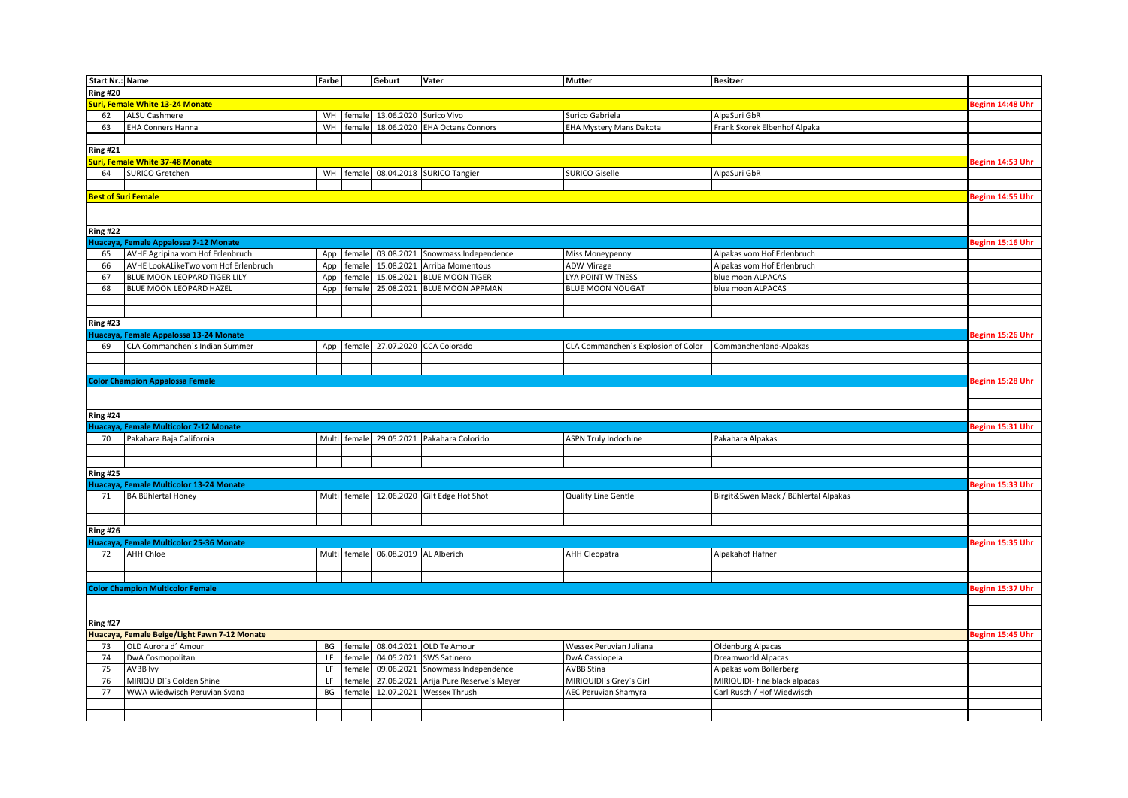| Start Nr.: Name |                                              | Farbe |              | Geburt                              | Vater                                           | <b>Mutter</b>                       | <b>Besitzer</b>                      |                  |
|-----------------|----------------------------------------------|-------|--------------|-------------------------------------|-------------------------------------------------|-------------------------------------|--------------------------------------|------------------|
| <b>Ring #20</b> |                                              |       |              |                                     |                                                 |                                     |                                      |                  |
|                 | <b>Suri, Female White 13-24 Monate</b>       |       |              |                                     |                                                 |                                     |                                      | Beginn 14:48 Uhr |
| 62              | ALSU Cashmere                                |       |              | WH Female 13.06.2020 Surico Vivo    |                                                 | Surico Gabriela                     | AlpaSuri GbR                         |                  |
| 63              | <b>EHA Conners Hanna</b>                     | WH    | female       | 18.06.2020                          | <b>EHA Octans Connors</b>                       | <b>EHA Mystery Mans Dakota</b>      | Frank Skorek Elbenhof Alpaka         |                  |
|                 |                                              |       |              |                                     |                                                 |                                     |                                      |                  |
| <b>Ring #21</b> |                                              |       |              |                                     |                                                 |                                     |                                      |                  |
|                 | <b>Suri, Female White 37-48 Monate</b>       |       |              |                                     |                                                 |                                     |                                      | Beginn 14:53 Uhr |
| 64              | SURICO Gretchen                              |       | WH female    |                                     | 08.04.2018 SURICO Tangier                       | <b>SURICO Giselle</b>               | AlpaSuri GbR                         |                  |
|                 |                                              |       |              |                                     |                                                 |                                     |                                      |                  |
|                 | <b>Best of Suri Female</b>                   |       |              |                                     |                                                 |                                     |                                      | Beginn 14:55 Uhr |
|                 |                                              |       |              |                                     |                                                 |                                     |                                      |                  |
|                 |                                              |       |              |                                     |                                                 |                                     |                                      |                  |
| <b>Ring #22</b> |                                              |       |              |                                     |                                                 |                                     |                                      |                  |
|                 | Huacaya, Female Appalossa 7-12 Monate        |       |              |                                     |                                                 |                                     |                                      | Beginn 15:16 Uhr |
| 65              | AVHE Agripina vom Hof Erlenbruch             |       |              |                                     | App   female 03.08.2021   Snowmass Independence | Miss Moneypenny                     | Alpakas vom Hof Erlenbruch           |                  |
| 66              | AVHE LookALikeTwo vom Hof Erlenbruch         | App   | female       |                                     | 15.08.2021 Arriba Momentous                     | <b>ADW Mirage</b>                   | Alpakas vom Hof Erlenbruch           |                  |
| 67              | BLUE MOON LEOPARD TIGER LILY                 |       | female       |                                     | 15.08.2021 BLUE MOON TIGER                      | LYA POINT WITNESS                   | blue moon ALPACAS                    |                  |
|                 |                                              | App   |              |                                     |                                                 |                                     |                                      |                  |
| 68              | BLUE MOON LEOPARD HAZEL                      |       |              |                                     | App   female 25.08.2021   BLUE MOON APPMAN      | <b>BLUE MOON NOUGAT</b>             | blue moon ALPACAS                    |                  |
|                 |                                              |       |              |                                     |                                                 |                                     |                                      |                  |
|                 |                                              |       |              |                                     |                                                 |                                     |                                      |                  |
| <b>Ring #23</b> |                                              |       |              |                                     |                                                 |                                     |                                      |                  |
|                 | Huacaya, Female Appalossa 13-24 Monate       |       |              |                                     |                                                 |                                     |                                      | Beginn 15:26 Uhr |
| 69              | CLA Commanchen's Indian Summer               |       |              |                                     | App   female 27.07.2020   CCA Colorado          | CLA Commanchen's Explosion of Color | Commanchenland-Alpakas               |                  |
|                 |                                              |       |              |                                     |                                                 |                                     |                                      |                  |
|                 |                                              |       |              |                                     |                                                 |                                     |                                      |                  |
|                 | <b>Color Champion Appalossa Female</b>       |       |              |                                     |                                                 |                                     |                                      | Beginn 15:28 Uhr |
|                 |                                              |       |              |                                     |                                                 |                                     |                                      |                  |
|                 |                                              |       |              |                                     |                                                 |                                     |                                      |                  |
| <b>Ring #24</b> |                                              |       |              |                                     |                                                 |                                     |                                      |                  |
|                 | Huacaya, Female Multicolor 7-12 Monate       |       |              |                                     |                                                 |                                     |                                      | Beginn 15:31 Uhr |
| 70              | Pakahara Baja California                     |       | Multi female |                                     | 29.05.2021 Pakahara Colorido                    | <b>ASPN Truly Indochine</b>         | Pakahara Alpakas                     |                  |
|                 |                                              |       |              |                                     |                                                 |                                     |                                      |                  |
|                 |                                              |       |              |                                     |                                                 |                                     |                                      |                  |
| <b>Ring #25</b> |                                              |       |              |                                     |                                                 |                                     |                                      |                  |
|                 | Huacaya, Female Multicolor 13-24 Monate      |       |              |                                     |                                                 |                                     |                                      | eginn 15:33 Uhr  |
| 71              | <b>BA Bühlertal Honey</b>                    |       |              |                                     | Multi female 12.06.2020 Gilt Edge Hot Shot      | <b>Quality Line Gentle</b>          | Birgit&Swen Mack / Bühlertal Alpakas |                  |
|                 |                                              |       |              |                                     |                                                 |                                     |                                      |                  |
|                 |                                              |       |              |                                     |                                                 |                                     |                                      |                  |
| <b>Ring #26</b> |                                              |       |              |                                     |                                                 |                                     |                                      |                  |
|                 | Huacaya, Female Multicolor 25-36 Monate      |       |              |                                     |                                                 |                                     |                                      | eginn 15:35 Uhr  |
| 72              | AHH Chloe                                    |       |              | Multi female 06.08.2019 AL Alberich |                                                 | AHH Cleopatra                       | Alpakahof Hafner                     |                  |
|                 |                                              |       |              |                                     |                                                 |                                     |                                      |                  |
|                 |                                              |       |              |                                     |                                                 |                                     |                                      |                  |
|                 | <b>Color Champion Multicolor Female</b>      |       |              |                                     |                                                 |                                     |                                      | Beginn 15:37 Uhr |
|                 |                                              |       |              |                                     |                                                 |                                     |                                      |                  |
|                 |                                              |       |              |                                     |                                                 |                                     |                                      |                  |
| <b>Ring #27</b> |                                              |       |              |                                     |                                                 |                                     |                                      |                  |
|                 | Huacaya, Female Beige/Light Fawn 7-12 Monate |       |              |                                     |                                                 |                                     |                                      | Beginn 15:45 Uhr |
| 73              | OLD Aurora d' Amour                          | BG    | female       |                                     | 08.04.2021 OLD Te Amour                         | Wessex Peruvian Juliana             | <b>Oldenburg Alpacas</b>             |                  |
| 74              | DwA Cosmopolitan                             | LF    | female       |                                     | 04.05.2021 SWS Satinero                         | DwA Cassiopeia                      | Dreamworld Alpacas                   |                  |
| 75              | AVBB Ivy                                     | LF    | female       |                                     | 09.06.2021 Snowmass Independence                | <b>AVBB Stina</b>                   | Alpakas vom Bollerberg               |                  |
| 76              | MIRIQUIDI's Golden Shine                     | LF    | female       |                                     | 27.06.2021 Arija Pure Reserve's Meyer           | MIRIQUIDI's Grey's Girl             | MIRIQUIDI- fine black alpacas        |                  |
| 77              | WWA Wiedwisch Peruvian Svana                 | BG    | female       |                                     | 12.07.2021 Wessex Thrush                        | AEC Peruvian Shamyra                | Carl Rusch / Hof Wiedwisch           |                  |
|                 |                                              |       |              |                                     |                                                 |                                     |                                      |                  |
|                 |                                              |       |              |                                     |                                                 |                                     |                                      |                  |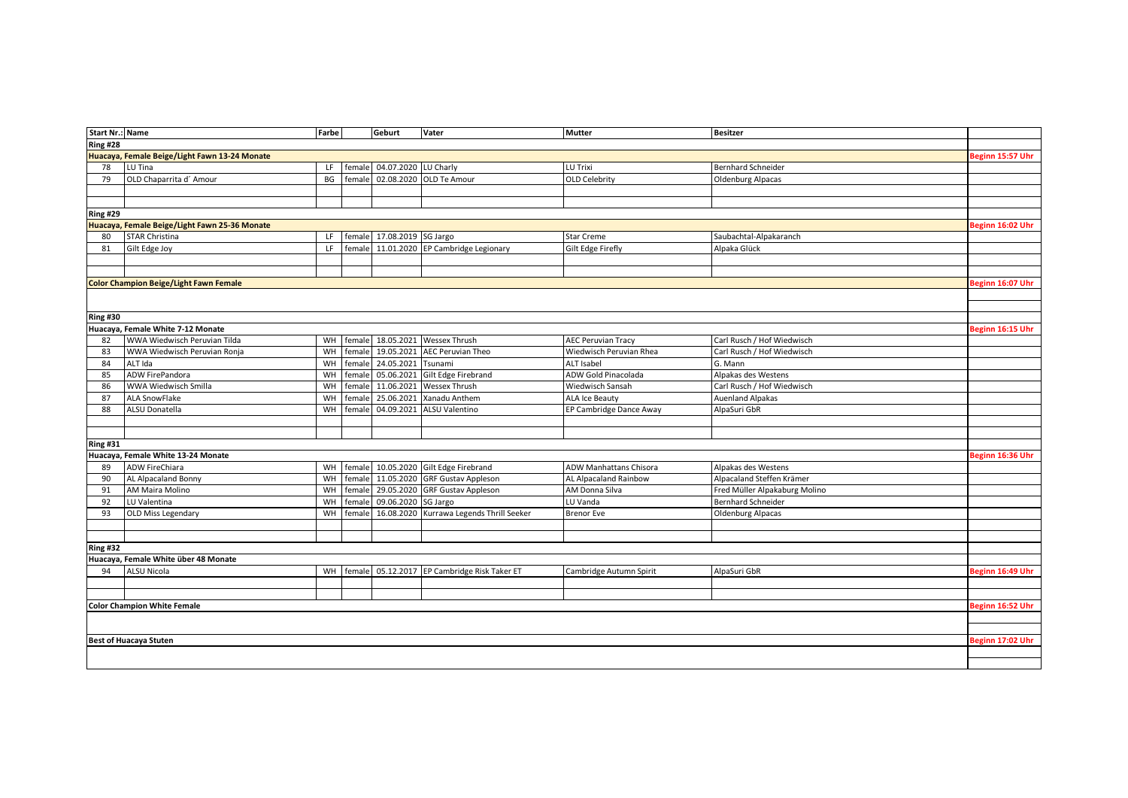| <b>Start Nr.: Name</b> |                                                            | Farbe     |           | Geburt                     | Vater                                           | <b>Mutter</b>                 | <b>Besitzer</b>               |                  |
|------------------------|------------------------------------------------------------|-----------|-----------|----------------------------|-------------------------------------------------|-------------------------------|-------------------------------|------------------|
| <b>Ring #28</b>        |                                                            |           |           |                            |                                                 |                               |                               |                  |
|                        | Huacaya, Female Beige/Light Fawn 13-24 Monate              |           |           |                            |                                                 |                               |                               | Beginn 15:57 Uhr |
| 78                     | LU Tina                                                    | LF.       | female    | 04.07.2020 LU Charly       |                                                 | LU Trixi                      | Bernhard Schneider            |                  |
| 79                     | OLD Chaparrita d'Amour                                     | BG        | female    |                            | 02.08.2020 OLD Te Amour                         | <b>OLD Celebrity</b>          | <b>Oldenburg Alpacas</b>      |                  |
|                        |                                                            |           |           |                            |                                                 |                               |                               |                  |
|                        |                                                            |           |           |                            |                                                 |                               |                               |                  |
| <b>Ring #29</b>        |                                                            |           |           |                            |                                                 |                               |                               |                  |
|                        | Huacaya, Female Beige/Light Fawn 25-36 Monate              |           |           |                            |                                                 |                               |                               | Beginn 16:02 Uhr |
| 80                     | <b>STAR Christina</b>                                      | LF        |           | female 17.08.2019 SG Jargo |                                                 | Star Creme                    | Saubachtal-Alpakaranch        |                  |
| 81                     | Gilt Edge Joy                                              | LF        |           |                            | female 11.01.2020 EP Cambridge Legionary        | Gilt Edge Firefly             | Alpaka Glück                  |                  |
|                        |                                                            |           |           |                            |                                                 |                               |                               |                  |
|                        |                                                            |           |           |                            |                                                 |                               |                               |                  |
|                        | <b>Color Champion Beige/Light Fawn Female</b>              |           |           |                            |                                                 |                               |                               | Beginn 16:07 Uhr |
|                        |                                                            |           |           |                            |                                                 |                               |                               |                  |
|                        |                                                            |           |           |                            |                                                 |                               |                               |                  |
| <b>Ring #30</b>        |                                                            |           |           |                            |                                                 |                               |                               |                  |
|                        | Huacaya, Female White 7-12 Monate                          |           |           |                            |                                                 |                               |                               | Beginn 16:15 Uhr |
| 82                     | WWA Wiedwisch Peruvian Tilda                               | WH        | female    |                            | 18.05.2021 Wessex Thrush                        | <b>AEC Peruvian Tracy</b>     | Carl Rusch / Hof Wiedwisch    |                  |
| 83                     | WWA Wiedwisch Peruvian Ronja                               | WH        | female    |                            | 19.05.2021 AEC Peruvian Theo                    | Wiedwisch Peruvian Rhea       | Carl Rusch / Hof Wiedwisch    |                  |
| 84                     | ALT Ida                                                    |           | WH female | 24.05.2021 Tsunami         |                                                 | <b>ALT Isabel</b>             | G. Mann                       |                  |
| 85                     | ADW FirePandora                                            | WH        | female    |                            | 05.06.2021 Gilt Edge Firebrand                  | <b>ADW Gold Pinacolada</b>    | Alpakas des Westens           |                  |
| 86                     | WWA Wiedwisch Smilla                                       | WH        | female    |                            | 11.06.2021 Wessex Thrush                        | Wiedwisch Sansah              | Carl Rusch / Hof Wiedwisch    |                  |
| 87                     | <b>ALA SnowFlake</b>                                       | WH        | female    |                            | 25.06.2021 Xanadu Anthem                        | <b>ALA Ice Beauty</b>         | <b>Auenland Alpakas</b>       |                  |
| 88                     | ALSU Donatella                                             | WH        | female    |                            | 04.09.2021 ALSU Valentino                       | EP Cambridge Dance Away       | AlpaSuri GbR                  |                  |
|                        |                                                            |           |           |                            |                                                 |                               |                               |                  |
|                        |                                                            |           |           |                            |                                                 |                               |                               |                  |
| <b>Ring #31</b>        |                                                            |           |           |                            |                                                 |                               |                               |                  |
|                        | Huacaya, Female White 13-24 Monate                         |           |           |                            |                                                 |                               |                               | Beginn 16:36 Uhr |
| 89                     | <b>ADW FireChiara</b>                                      |           | WH female |                            | 10.05.2020 Gilt Edge Firebrand                  | <b>ADW Manhattans Chisora</b> | Alpakas des Westens           |                  |
| 90                     | AL Alpacaland Bonny                                        | WH        | female    |                            | 11.05.2020 GRF Gustav Appleson                  | <b>AL Alpacaland Rainbow</b>  | Alpacaland Steffen Krämer     |                  |
| 91                     | AM Maira Molino                                            | WH        | female    |                            | 29.05.2020 GRF Gustav Appleson                  | AM Donna Silva                | Fred Müller Alpakaburg Molino |                  |
| 92                     | LU Valentina                                               | WH        | female    | 09.06.2020 SG Jargo        |                                                 | LU Vanda                      | <b>Bernhard Schneider</b>     |                  |
| 93                     | OLD Miss Legendary                                         | <b>WH</b> | female    |                            | 16.08.2020 Kurrawa Legends Thrill Seeker        | <b>Brenor Eve</b>             | <b>Oldenburg Alpacas</b>      |                  |
|                        |                                                            |           |           |                            |                                                 |                               |                               |                  |
|                        |                                                            |           |           |                            |                                                 |                               |                               |                  |
| <b>Ring #32</b>        |                                                            |           |           |                            |                                                 |                               |                               |                  |
| 94                     | Huacaya, Female White über 48 Monate<br><b>ALSU Nicola</b> |           |           |                            | WH Female 05.12.2017 EP Cambridge Risk Taker ET |                               |                               | Beginn 16:49 Uhr |
|                        |                                                            |           |           |                            |                                                 | Cambridge Autumn Spirit       | AlpaSuri GbR                  |                  |
|                        |                                                            |           |           |                            |                                                 |                               |                               |                  |
|                        |                                                            |           |           |                            |                                                 |                               |                               |                  |
|                        | <b>Color Champion White Female</b>                         |           |           |                            |                                                 |                               |                               | Beginn 16:52 Uhr |
|                        |                                                            |           |           |                            |                                                 |                               |                               |                  |
|                        |                                                            |           |           |                            |                                                 |                               |                               |                  |
|                        | <b>Best of Huacaya Stuten</b>                              |           |           |                            |                                                 |                               |                               | Beginn 17:02 Uhr |
|                        |                                                            |           |           |                            |                                                 |                               |                               |                  |
|                        |                                                            |           |           |                            |                                                 |                               |                               |                  |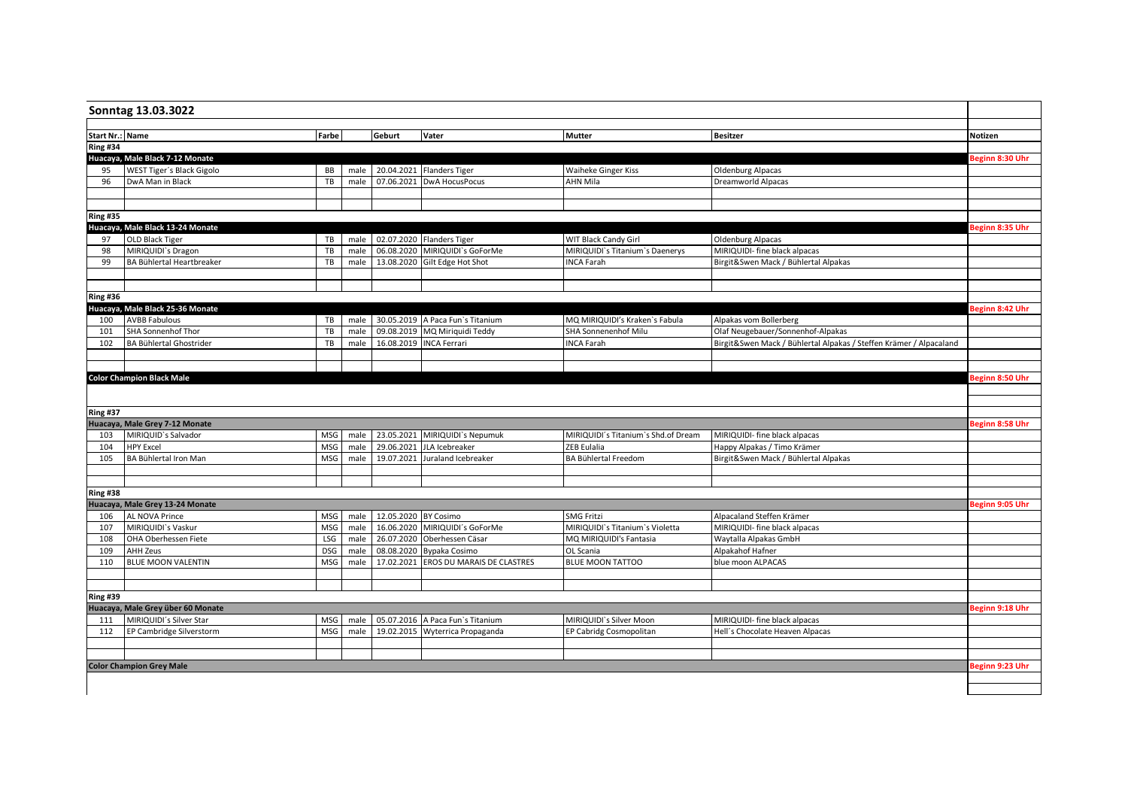|                                    | <b>Start Nr.: Name</b>                                | Farbe      |      | Geburt                    | Vater                                 | <b>Mutter</b>                       | <b>Besitzer</b>                                                    | Notizen         |
|------------------------------------|-------------------------------------------------------|------------|------|---------------------------|---------------------------------------|-------------------------------------|--------------------------------------------------------------------|-----------------|
| <b>Ring #34</b>                    |                                                       |            |      |                           |                                       |                                     |                                                                    |                 |
|                                    | Huacaya, Male Black 7-12 Monate                       |            |      |                           |                                       |                                     |                                                                    | Beginn 8:30 Uhr |
| 95                                 | WEST Tiger's Black Gigolo                             | BB         |      |                           | male 20.04.2021 Flanders Tiger        | Waiheke Ginger Kiss                 | <b>Oldenburg Alpacas</b>                                           |                 |
| 96                                 | DwA Man in Black                                      | TB         | male | 07.06.2021                | DwA HocusPocus                        | <b>AHN Mila</b>                     | <b>Dreamworld Alpacas</b>                                          |                 |
|                                    |                                                       |            |      |                           |                                       |                                     |                                                                    |                 |
|                                    |                                                       |            |      |                           |                                       |                                     |                                                                    |                 |
| <b>Ring #35</b>                    |                                                       |            |      |                           |                                       |                                     |                                                                    |                 |
|                                    | Huacaya, Male Black 13-24 Monate                      |            |      |                           |                                       |                                     |                                                                    | Beginn 8:35 Uhr |
| 97                                 | OLD Black Tiger                                       | TB         |      |                           | male 02.07.2020 Flanders Tiger        | WIT Black Candy Girl                | <b>Oldenburg Alpacas</b>                                           |                 |
| 98                                 | MIRIQUIDI's Dragon                                    | TB         | male |                           | 06.08.2020 MIRIQUIDI's GoForMe        | MIRIQUIDI's Titanium's Daenerys     | MIRIQUIDI- fine black alpacas                                      |                 |
| 99                                 | BA Bühlertal Heartbreaker                             | TB         | male |                           | 13.08.2020 Gilt Edge Hot Shot         | <b>INCA Farah</b>                   | Birgit&Swen Mack / Bühlertal Alpakas                               |                 |
|                                    |                                                       |            |      |                           |                                       |                                     |                                                                    |                 |
|                                    |                                                       |            |      |                           |                                       |                                     |                                                                    |                 |
| <b>Ring #36</b>                    |                                                       |            |      |                           |                                       |                                     |                                                                    |                 |
|                                    | Huacaya, Male Black 25-36 Monate                      |            |      |                           |                                       |                                     |                                                                    | Beginn 8:42 Uhr |
| 100                                | <b>AVBB Fabulous</b>                                  | TB         |      |                           | male 30.05.2019 A Paca Fun's Titanium | MQ MIRIQUIDI's Kraken's Fabula      | Alpakas vom Bollerberg                                             |                 |
| 101                                | SHA Sonnenhof Thor                                    | TB         | male |                           | 09.08.2019 MQ Miriquidi Teddy         | SHA Sonnenenhof Milu                | Olaf Neugebauer/Sonnenhof-Alpakas                                  |                 |
| 102                                | BA Bühlertal Ghostrider                               | TB         | male |                           | 16.08.2019 INCA Ferrari               | <b>INCA Farah</b>                   | Birgit&Swen Mack / Bühlertal Alpakas / Steffen Krämer / Alpacaland |                 |
|                                    |                                                       |            |      |                           |                                       |                                     |                                                                    |                 |
|                                    |                                                       |            |      |                           |                                       |                                     |                                                                    |                 |
|                                    |                                                       |            |      |                           |                                       |                                     |                                                                    |                 |
|                                    | <b>Color Champion Black Male</b>                      |            |      |                           |                                       |                                     |                                                                    | Beginn 8:50 Uhr |
|                                    |                                                       |            |      |                           |                                       |                                     |                                                                    | Beginn 8:58 Uhr |
| 103                                | Huacaya, Male Grey 7-12 Monate<br>MIRIQUID's Salvador | MSG        | male | 23.05.2021                | MIRIQUIDI's Nepumuk                   | MIRIQUIDI's Titanium's Shd.of Dream | MIRIQUIDI- fine black alpacas                                      |                 |
| 104                                | <b>HPY Excel</b>                                      | MSG        | male | 29.06.2021                | JLA Icebreaker                        | ZEB Eulalia                         | Happy Alpakas / Timo Krämer                                        |                 |
| 105                                | BA Bühlertal Iron Man                                 | MSG        | male | 19.07.2021                | Juraland Icebreaker                   | BA Bühlertal Freedom                | Birgit&Swen Mack / Bühlertal Alpakas                               |                 |
|                                    |                                                       |            |      |                           |                                       |                                     |                                                                    |                 |
|                                    |                                                       |            |      |                           |                                       |                                     |                                                                    |                 |
|                                    |                                                       |            |      |                           |                                       |                                     |                                                                    |                 |
|                                    | Huacaya, Male Grey 13-24 Monate                       |            |      |                           |                                       |                                     |                                                                    | Beginn 9:05 Uhr |
| 106                                | AL NOVA Prince                                        | MSG        |      | male 12.05.2020 BY Cosimo |                                       | <b>SMG Fritzi</b>                   | Alpacaland Steffen Krämer                                          |                 |
| 107                                | MIRIQUIDI's Vaskur                                    | <b>MSG</b> | male |                           | 16.06.2020 MIRIQUIDI's GoForMe        | MIRIQUIDI's Titanium's Violetta     | MIRIQUIDI- fine black alpacas                                      |                 |
| 108                                | OHA Oberhessen Fiete                                  | LSG        | male |                           | 26.07.2020 Oberhessen Cäsar           | MQ MIRIQUIDI's Fantasia             | Waytalla Alpakas GmbH                                              |                 |
| 109                                | <b>AHH Zeus</b>                                       | <b>DSG</b> | male | 08.08.2020                | Bypaka Cosimo                         | OL Scania                           | Alpakahof Hafner                                                   |                 |
| 110                                | <b>BLUE MOON VALENTIN</b>                             | <b>MSG</b> | male | 17.02.2021                | <b>EROS DU MARAIS DE CLASTRES</b>     | <b>BLUE MOON TATTOO</b>             | blue moon ALPACAS                                                  |                 |
| <b>Ring #37</b><br><b>Ring #38</b> |                                                       |            |      |                           |                                       |                                     |                                                                    |                 |
|                                    |                                                       |            |      |                           |                                       |                                     |                                                                    |                 |
|                                    |                                                       |            |      |                           |                                       |                                     |                                                                    |                 |
|                                    | Huacaya, Male Grey über 60 Monate                     |            |      |                           |                                       |                                     |                                                                    | Beginn 9:18 Uhr |
| 111                                | MIRIQUIDI's Silver Star                               | MSG        |      |                           | male 05.07.2016 A Paca Fun's Titanium | MIRIQUIDI's Silver Moon             | MIRIQUIDI- fine black alpacas                                      |                 |
| 112                                | EP Cambridge Silverstorm                              | <b>MSG</b> | male | 19.02.2015                | Wyterrica Propaganda                  | EP Cabridg Cosmopolitan             | Hell's Chocolate Heaven Alpacas                                    |                 |
| <b>Ring #39</b>                    |                                                       |            |      |                           |                                       |                                     |                                                                    |                 |
|                                    |                                                       |            |      |                           |                                       |                                     |                                                                    |                 |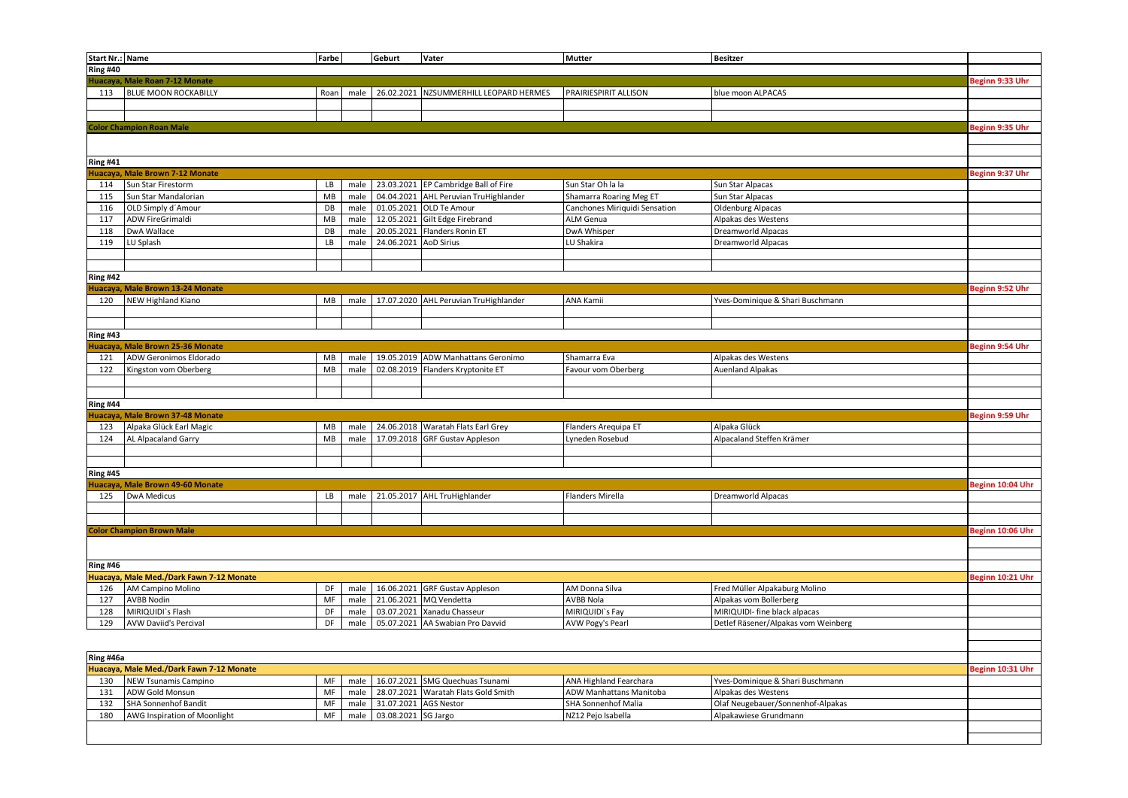| Start Nr.: Name |                                          | Farbe |      | Geburt                | Vater                                  | Mutter                         | <b>Besitzer</b>                     |                  |
|-----------------|------------------------------------------|-------|------|-----------------------|----------------------------------------|--------------------------------|-------------------------------------|------------------|
| <b>Ring #40</b> |                                          |       |      |                       |                                        |                                |                                     |                  |
|                 | Huacaya, Male Roan 7-12 Monate           |       |      |                       |                                        |                                |                                     | Beginn 9:33 Uhr  |
| 113             | <b>BLUE MOON ROCKABILLY</b>              | Roan  | male |                       | 26.02.2021 NZSUMMERHILL LEOPARD HERMES | PRAIRIESPIRIT ALLISON          | blue moon ALPACAS                   |                  |
|                 |                                          |       |      |                       |                                        |                                |                                     |                  |
|                 |                                          |       |      |                       |                                        |                                |                                     |                  |
|                 | <b>Color Champion Roan Male</b>          |       |      |                       |                                        |                                |                                     | Beginn 9:35 Uhr  |
|                 |                                          |       |      |                       |                                        |                                |                                     |                  |
|                 |                                          |       |      |                       |                                        |                                |                                     |                  |
| <b>Ring #41</b> |                                          |       |      |                       |                                        |                                |                                     |                  |
|                 | luacaya, Male Brown 7-12 Monate          |       |      |                       |                                        |                                |                                     | Beginn 9:37 Uhr  |
| 114             | Sun Star Firestorm                       | LB    | male |                       | 23.03.2021 EP Cambridge Ball of Fire   | Sun Star Oh la la              | Sun Star Alpacas                    |                  |
| 115             | Sun Star Mandalorian                     | MB    | male |                       | 04.04.2021 AHL Peruvian TruHighlander  | Shamarra Roaring Meg ET        | Sun Star Alpacas                    |                  |
| 116             | OLD Simply d'Amour                       | DB    | male | 01.05.2021            | OLD Te Amour                           | Canchones Miriquidi Sensation  | Oldenburg Alpacas                   |                  |
| 117             | ADW FireGrimaldi                         | MB    | male |                       | 12.05.2021 Gilt Edge Firebrand         | ALM Genua                      | Alpakas des Westens                 |                  |
| 118             | DwA Wallace                              | DB    | male | 20.05.2021            | Flanders Ronin ET                      | DwA Whisper                    | Dreamworld Alpacas                  |                  |
| 119             | LU Splash                                | LB    | male | 24.06.2021 AoD Sirius |                                        | LU Shakira                     | Dreamworld Alpacas                  |                  |
|                 |                                          |       |      |                       |                                        |                                |                                     |                  |
|                 |                                          |       |      |                       |                                        |                                |                                     |                  |
|                 |                                          |       |      |                       |                                        |                                |                                     |                  |
| Ring #42        |                                          |       |      |                       |                                        |                                |                                     |                  |
|                 | Huacaya, Male Brown 13-24 Monate         |       |      |                       |                                        |                                |                                     | Beginn 9:52 Uhr  |
| 120             | <b>NEW Highland Kiano</b>                | MB    | male |                       | 17.07.2020 AHL Peruvian TruHighlander  | ANA Kamii                      | Yves-Dominique & Shari Buschmann    |                  |
|                 |                                          |       |      |                       |                                        |                                |                                     |                  |
|                 |                                          |       |      |                       |                                        |                                |                                     |                  |
| <b>Ring #43</b> |                                          |       |      |                       |                                        |                                |                                     |                  |
|                 | Huacaya, Male Brown 25-36 Monate         |       |      |                       |                                        |                                |                                     | Beginn 9:54 Uhr  |
| 121             | ADW Geronimos Eldorado                   | MB    | male |                       | 19.05.2019 ADW Manhattans Geronimo     | Shamarra Eva                   | Alpakas des Westens                 |                  |
| 122             | Kingston vom Oberberg                    | MB    | male | 02.08.2019            | Flanders Kryptonite ET                 | Favour vom Oberberg            | <b>Auenland Alpakas</b>             |                  |
|                 |                                          |       |      |                       |                                        |                                |                                     |                  |
|                 |                                          |       |      |                       |                                        |                                |                                     |                  |
| <b>Ring #44</b> |                                          |       |      |                       |                                        |                                |                                     |                  |
|                 | Juacaya, Male Brown 37-48 Monate         |       |      |                       |                                        |                                |                                     | Beginn 9:59 Uhr  |
| 123             | Alpaka Glück Earl Magic                  | MB    | male |                       | 24.06.2018 Waratah Flats Earl Grey     | Flanders Arequipa ET           | Alpaka Glück                        |                  |
| 124             | AL Alpacaland Garry                      | MB    | male | 17.09.2018            | <b>GRF Gustav Appleson</b>             | yneden Rosebud                 | Alpacaland Steffen Krämer           |                  |
|                 |                                          |       |      |                       |                                        |                                |                                     |                  |
|                 |                                          |       |      |                       |                                        |                                |                                     |                  |
| <b>Ring #45</b> |                                          |       |      |                       |                                        |                                |                                     |                  |
|                 | Juacaya, Male Brown 49-60 Monate         |       |      |                       |                                        |                                |                                     | Beginn 10:04 Uhr |
| 125             | <b>DwA Medicus</b>                       | LB    | male |                       | 21.05.2017 AHL TruHighlander           | Flanders Mirella               | Dreamworld Alpacas                  |                  |
|                 |                                          |       |      |                       |                                        |                                |                                     |                  |
|                 |                                          |       |      |                       |                                        |                                |                                     |                  |
|                 | <b>Color Champion Brown Male</b>         |       |      |                       |                                        |                                |                                     | Beginn 10:06 Uhr |
|                 |                                          |       |      |                       |                                        |                                |                                     |                  |
|                 |                                          |       |      |                       |                                        |                                |                                     |                  |
| <b>Ring #46</b> |                                          |       |      |                       |                                        |                                |                                     |                  |
|                 | Iuacaya, Male Med./Dark Fawn 7-12 Monate |       |      |                       |                                        |                                |                                     | Beginn 10:21 Uhr |
| 126             | AM Campino Molino                        | DF    | male | 16.06.2021            | <b>GRF Gustav Appleson</b>             | AM Donna Silva                 | Fred Müller Alpakaburg Molino       |                  |
| 127             | <b>AVBB Nodin</b>                        | MF    | male |                       | 21.06.2021 MQ Vendetta                 | AVBB Nola                      | Alpakas vom Bollerberg              |                  |
| 128             | MIRIQUIDI's Flash                        | DF    | male | 03.07.2021            | Xanadu Chasseur                        | MIRIQUIDI's Fay                | MIRIQUIDI- fine black alpacas       |                  |
| 129             | <b>AVW Daviid's Percival</b>             | DF    | male |                       | 05.07.2021 AA Swabian Pro Davvid       | AVW Pogy's Pearl               | Detlef Räsener/Alpakas vom Weinberg |                  |
|                 |                                          |       |      |                       |                                        |                                |                                     |                  |
|                 |                                          |       |      |                       |                                        |                                |                                     |                  |
| Ring #46a       |                                          |       |      |                       |                                        |                                |                                     |                  |
|                 | Iuacaya, Male Med./Dark Fawn 7-12 Monate |       |      |                       |                                        |                                |                                     | Beginn 10:31 Uhr |
| 130             | <b>NEW Tsunamis Campino</b>              | MF    | male | 16.07.2021            | <b>SMG Quechuas Tsunami</b>            | <b>ANA Highland Fearchara</b>  | Yves-Dominique & Shari Buschmann    |                  |
| 131             | ADW Gold Monsun                          | MF    |      |                       |                                        | <b>ADW Manhattans Manitoba</b> |                                     |                  |
|                 |                                          | MF    | male | 28.07.2021            | Waratah Flats Gold Smith               |                                | Alpakas des Westens                 |                  |
| 132             | <b>SHA Sonnenhof Bandit</b>              |       | male | 31.07.2021 AGS Nestor |                                        | SHA Sonnenhof Malia            | Olaf Neugebauer/Sonnenhof-Alpakas   |                  |
| 180             | AWG Inspiration of Moonlight             | MF    | male | 03.08.2021 SG Jargo   |                                        | NZ12 Pejo Isabella             | Alpakawiese Grundmann               |                  |
|                 |                                          |       |      |                       |                                        |                                |                                     |                  |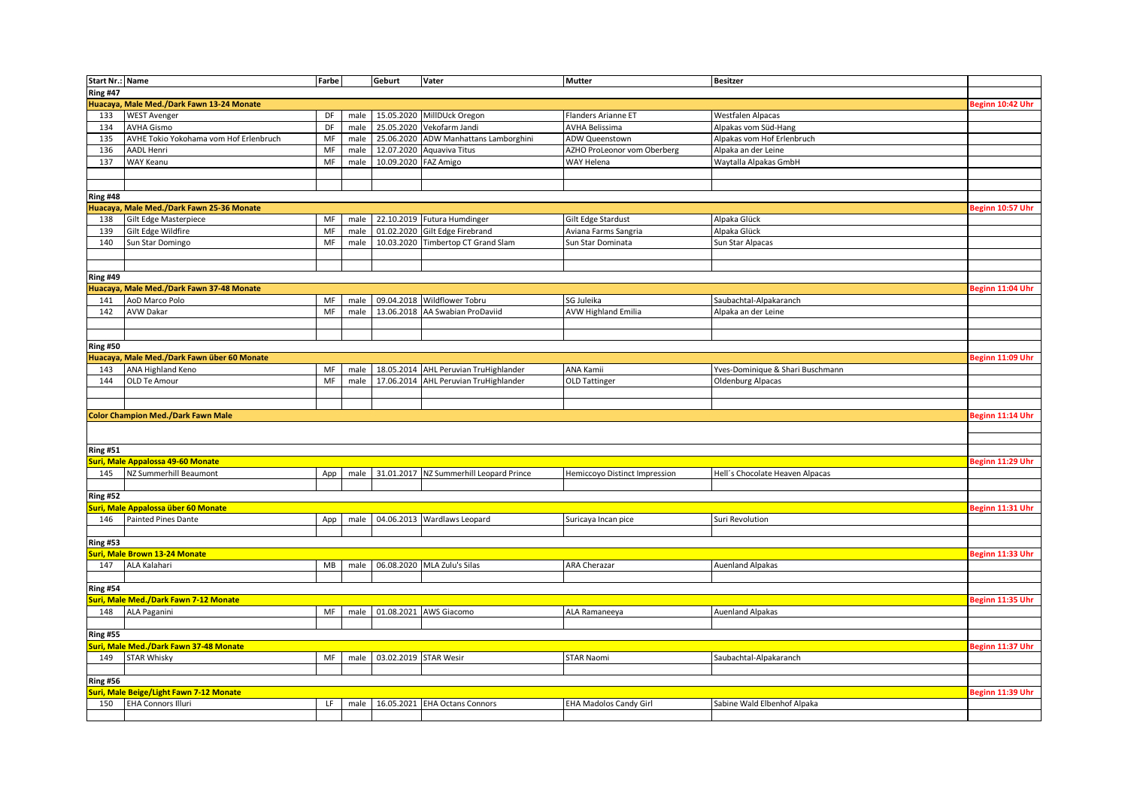| <b>Start Nr.: Name</b> |                                             | Farbe    |      | Geburt                | Vater                                        | <b>Mutter</b>                 | <b>Besitzer</b>                  |                  |
|------------------------|---------------------------------------------|----------|------|-----------------------|----------------------------------------------|-------------------------------|----------------------------------|------------------|
| <b>Ring #47</b>        |                                             |          |      |                       |                                              |                               |                                  |                  |
|                        | Huacaya, Male Med./Dark Fawn 13-24 Monate   |          |      |                       |                                              |                               |                                  | Beginn 10:42 Uhr |
|                        |                                             |          |      |                       |                                              |                               |                                  |                  |
| 133                    | <b>WEST Avenger</b>                         | DF       | male |                       | 15.05.2020 MillDUck Oregon                   | Flanders Arianne ET           | <b>Westfalen Alpacas</b>         |                  |
| 134                    | <b>AVHA Gismo</b>                           | DF       | male | 25.05.2020            | Vekofarm Jandi                               | <b>AVHA Belissima</b>         | Alpakas vom Süd-Hang             |                  |
| 135                    | AVHE Tokio Yokohama vom Hof Erlenbruch      | MF       | male |                       | 25.06.2020 ADW Manhattans Lamborghini        | ADW Queenstown                | Alpakas vom Hof Erlenbruch       |                  |
| 136                    | <b>AADL Henri</b>                           | MF       | male |                       | 12.07.2020 Aquaviva Titus                    | AZHO ProLeonor vom Oberberg   | Alpaka an der Leine              |                  |
| 137                    | WAY Keanu                                   | MF       | male | 10.09.2020            | FAZ Amigo                                    | WAY Helena                    | Waytalla Alpakas GmbH            |                  |
|                        |                                             |          |      |                       |                                              |                               |                                  |                  |
|                        |                                             |          |      |                       |                                              |                               |                                  |                  |
| Ring #48               |                                             |          |      |                       |                                              |                               |                                  |                  |
|                        | Huacaya, Male Med./Dark Fawn 25-36 Monate   |          |      |                       |                                              |                               |                                  | Beginn 10:57 Uhr |
| 138                    | Gilt Edge Masterpiece                       | MF       | male |                       | 22.10.2019 Futura Humdinger                  | Gilt Edge Stardust            | Alpaka Glück                     |                  |
| 139                    | Gilt Edge Wildfire                          | MF       | male |                       | 01.02.2020 Gilt Edge Firebrand               | Aviana Farms Sangria          | Alpaka Glück                     |                  |
| 140                    | Sun Star Domingo                            | $\sf MF$ | male | 10.03.2020            | Timbertop CT Grand Slam                      | Sun Star Dominata             | Sun Star Alpacas                 |                  |
|                        |                                             |          |      |                       |                                              |                               |                                  |                  |
|                        |                                             |          |      |                       |                                              |                               |                                  |                  |
| <b>Ring #49</b>        |                                             |          |      |                       |                                              |                               |                                  |                  |
|                        |                                             |          |      |                       |                                              |                               |                                  |                  |
|                        | Huacaya, Male Med./Dark Fawn 37-48 Monate   |          |      |                       |                                              |                               |                                  | Beginn 11:04 Uhr |
| 141                    | AoD Marco Polo                              | MF       | male |                       | 09.04.2018 Wildflower Tobru                  | SG Juleika                    | Saubachtal-Alpakaranch           |                  |
| 142                    | <b>AVW Dakar</b>                            | MF       | male | 13.06.2018            | AA Swabian ProDaviid                         | <b>AVW Highland Emilia</b>    | Alpaka an der Leine              |                  |
|                        |                                             |          |      |                       |                                              |                               |                                  |                  |
|                        |                                             |          |      |                       |                                              |                               |                                  |                  |
| <b>Ring #50</b>        |                                             |          |      |                       |                                              |                               |                                  |                  |
|                        | Huacaya, Male Med./Dark Fawn über 60 Monate |          |      |                       |                                              |                               |                                  | Beginn 11:09 Uhr |
| 143                    | ANA Highland Keno                           | MF       | male |                       | 18.05.2014 AHL Peruvian TruHighlander        | <b>ANA Kamii</b>              | Yves-Dominique & Shari Buschmann |                  |
| 144                    | OLD Te Amour                                | MF       | male |                       | 17.06.2014 AHL Peruvian TruHighlander        | OLD Tattinger                 | <b>Oldenburg Alpacas</b>         |                  |
|                        |                                             |          |      |                       |                                              |                               |                                  |                  |
|                        |                                             |          |      |                       |                                              |                               |                                  |                  |
|                        | <b>Color Champion Med./Dark Fawn Male</b>   |          |      |                       |                                              |                               |                                  | Beginn 11:14 Uhr |
|                        |                                             |          |      |                       |                                              |                               |                                  |                  |
|                        |                                             |          |      |                       |                                              |                               |                                  |                  |
| <b>Ring #51</b>        |                                             |          |      |                       |                                              |                               |                                  |                  |
|                        | Suri, Male Appalossa 49-60 Monate           |          |      |                       |                                              |                               |                                  | Beginn 11:29 Uhr |
| 145                    | NZ Summerhill Beaumont                      | App      |      |                       | male 31.01.2017 NZ Summerhill Leopard Prince | Hemiccoyo Distinct Impression | Hell's Chocolate Heaven Alpacas  |                  |
|                        |                                             |          |      |                       |                                              |                               |                                  |                  |
|                        |                                             |          |      |                       |                                              |                               |                                  |                  |
| <b>Ring #52</b>        |                                             |          |      |                       |                                              |                               |                                  |                  |
|                        | uri, Male Appalossa über 60 Monate          |          |      |                       |                                              |                               |                                  | Beginn 11:31 Uhr |
| 146                    | Painted Pines Dante                         | App      | male |                       | 04.06.2013 Wardlaws Leopard                  | Suricaya Incan pice           | Suri Revolution                  |                  |
|                        |                                             |          |      |                       |                                              |                               |                                  |                  |
| <b>Ring #53</b>        |                                             |          |      |                       |                                              |                               |                                  |                  |
|                        | <b>Juri, Male Brown 13-24 Monate</b>        |          |      |                       |                                              |                               |                                  | Beginn 11:33 Uhr |
| 147                    | ALA Kalahari                                | MB       | male |                       | 06.08.2020 MLA Zulu's Silas                  | <b>ARA Cherazar</b>           | <b>Auenland Alpakas</b>          |                  |
|                        |                                             |          |      |                       |                                              |                               |                                  |                  |
| <b>Ring #54</b>        |                                             |          |      |                       |                                              |                               |                                  |                  |
|                        | Suri, Male Med./Dark Fawn 7-12 Monate       |          |      |                       |                                              |                               |                                  | Beginn 11:35 Uhr |
| 148                    | ALA Paganini                                | MF       | male |                       | 01.08.2021 AWS Giacomo                       | ALA Ramaneeya                 | <b>Auenland Alpakas</b>          |                  |
|                        |                                             |          |      |                       |                                              |                               |                                  |                  |
| <b>Ring #55</b>        |                                             |          |      |                       |                                              |                               |                                  |                  |
|                        | iuri, Male Med./Dark Fawn 37-48 Monate      |          |      |                       |                                              |                               |                                  | Beginn 11:37 Uhr |
| 149                    | <b>STAR Whisky</b>                          | MF       | male | 03.02.2019 STAR Wesir |                                              | <b>STAR Naomi</b>             | Saubachtal-Alpakaranch           |                  |
|                        |                                             |          |      |                       |                                              |                               |                                  |                  |
|                        |                                             |          |      |                       |                                              |                               |                                  |                  |
|                        |                                             |          |      |                       |                                              |                               |                                  |                  |
| <b>Ring #56</b>        |                                             |          |      |                       |                                              |                               |                                  |                  |
|                        | Suri, Male Beige/Light Fawn 7-12 Monate     |          |      |                       |                                              |                               |                                  | Beginn 11:39 Uhr |
| 150                    | <b>EHA Connors Illuri</b>                   | LF.      | male |                       | 16.05.2021 EHA Octans Connors                | <b>EHA Madolos Candy Girl</b> | Sabine Wald Elbenhof Alpaka      |                  |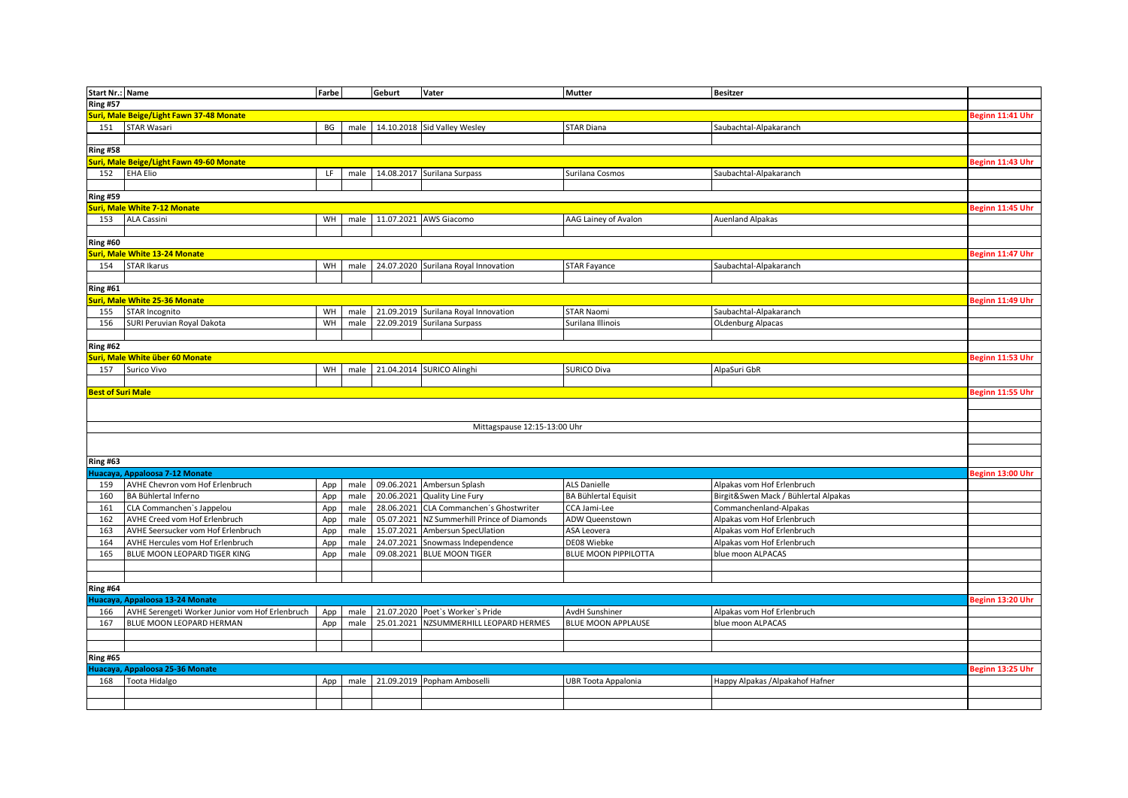| <b>Start Nr.: Name</b>   |                                                 | Farbe |      | Geburt     | Vater                                | <b>Mutter</b>               | <b>Besitzer</b>                      |                  |
|--------------------------|-------------------------------------------------|-------|------|------------|--------------------------------------|-----------------------------|--------------------------------------|------------------|
| <b>Ring #57</b>          |                                                 |       |      |            |                                      |                             |                                      |                  |
|                          | Suri, Male Beige/Light Fawn 37-48 Monate        |       |      |            |                                      |                             |                                      | Beginn 11:41 Uhr |
| 151                      | STAR Wasari                                     | BG    | male |            | 14.10.2018 Sid Valley Wesley         | <b>STAR Diana</b>           | Saubachtal-Alpakaranch               |                  |
|                          |                                                 |       |      |            |                                      |                             |                                      |                  |
| <b>Ring #58</b>          |                                                 |       |      |            |                                      |                             |                                      |                  |
|                          | Suri, Male Beige/Light Fawn 49-60 Monate        |       |      |            |                                      |                             |                                      | Beginn 11:43 Uhr |
| 152                      | <b>EHA Elio</b>                                 | LF.   | male | 14.08.2017 | Surilana Surpass                     | Surilana Cosmos             | Saubachtal-Alpakaranch               |                  |
|                          |                                                 |       |      |            |                                      |                             |                                      |                  |
| <b>Ring #59</b>          |                                                 |       |      |            |                                      |                             |                                      |                  |
|                          | Suri, Male White 7-12 Monate                    |       |      |            |                                      |                             |                                      | Beginn 11:45 Uhr |
| 153                      | <b>ALA Cassini</b>                              | WH    | male |            | 11.07.2021 AWS Giacomo               | AAG Lainey of Avalon        | <b>Auenland Alpakas</b>              |                  |
|                          |                                                 |       |      |            |                                      |                             |                                      |                  |
| <b>Ring #60</b>          |                                                 |       |      |            |                                      |                             |                                      |                  |
|                          | Suri, Male White 13-24 Monate                   |       |      |            |                                      |                             |                                      | Beginn 11:47 Uhr |
| 154                      | <b>STAR Ikarus</b>                              | WH    | male |            | 24.07.2020 Surilana Royal Innovation | <b>STAR Fayance</b>         | Saubachtal-Alpakaranch               |                  |
|                          |                                                 |       |      |            |                                      |                             |                                      |                  |
| <b>Ring #61</b>          |                                                 |       |      |            |                                      |                             |                                      |                  |
|                          | Suri, Male White 25-36 Monate                   |       |      |            |                                      |                             |                                      | Beginn 11:49 Uhr |
| 155                      | <b>STAR Incognito</b>                           | WH    | male |            | 21.09.2019 Surilana Royal Innovation | <b>STAR Naomi</b>           | Saubachtal-Alpakaranch               |                  |
| 156                      |                                                 | WH    | male | 22.09.2019 |                                      | Surilana Illinois           |                                      |                  |
|                          | SURI Peruvian Royal Dakota                      |       |      |            | Surilana Surpass                     |                             | <b>OLdenburg Alpacas</b>             |                  |
| <b>Ring #62</b>          |                                                 |       |      |            |                                      |                             |                                      |                  |
|                          |                                                 |       |      |            |                                      |                             |                                      | Beginn 11:53 Uhr |
|                          | Suri, Male White über 60 Monate                 |       |      |            |                                      |                             |                                      |                  |
| 157                      | Surico Vivo                                     | WH    | male |            | 21.04.2014 SURICO Alinghi            | SURICO Diva                 | AlpaSuri GbR                         |                  |
|                          |                                                 |       |      |            |                                      |                             |                                      |                  |
| <b>Best of Suri Male</b> |                                                 |       |      |            |                                      |                             |                                      | Beginn 11:55 Uhr |
|                          |                                                 |       |      |            |                                      |                             |                                      |                  |
|                          |                                                 |       |      |            |                                      |                             |                                      |                  |
|                          |                                                 |       |      |            | Mittagspause 12:15-13:00 Uhr         |                             |                                      |                  |
|                          |                                                 |       |      |            |                                      |                             |                                      |                  |
|                          |                                                 |       |      |            |                                      |                             |                                      |                  |
| <b>Ring #63</b>          |                                                 |       |      |            |                                      |                             |                                      |                  |
|                          | Huacaya, Appaloosa 7-12 Monate                  |       |      |            |                                      |                             |                                      | Beginn 13:00 Uhr |
| 159                      | AVHE Chevron vom Hof Erlenbruch                 | App   | male | 09.06.2021 | Ambersun Splash                      | <b>ALS Danielle</b>         | Alpakas vom Hof Erlenbruch           |                  |
| 160                      | BA Bühlertal Inferno                            | App   | male | 20.06.2021 | <b>Quality Line Fury</b>             | <b>BA Bühlertal Equisit</b> | Birgit&Swen Mack / Bühlertal Alpakas |                  |
| 161                      | CLA Commanchen's Jappelou                       | App   | male | 28.06.2021 | CLA Commanchen's Ghostwriter         | CCA Jami-Lee                | Commanchenland-Alpakas               |                  |
| 162                      | AVHE Creed vom Hof Erlenbruch                   | App   | male | 05.07.2021 | NZ Summerhill Prince of Diamonds     | ADW Queenstown              | Alpakas vom Hof Erlenbruch           |                  |
| 163                      | AVHE Seersucker vom Hof Erlenbruch              | App   | male | 15.07.2021 | Ambersun SpecUlation                 | ASA Leovera                 | Alpakas vom Hof Erlenbruch           |                  |
| 164                      | AVHE Hercules vom Hof Erlenbruch                | App   | male | 24.07.2021 | Snowmass Independence                | DE08 Wiebke                 | Alpakas vom Hof Erlenbruch           |                  |
| 165                      | BLUE MOON LEOPARD TIGER KING                    | App   | male | 09.08.2021 | <b>BLUE MOON TIGER</b>               | <b>BLUE MOON PIPPILOTTA</b> | blue moon ALPACAS                    |                  |
|                          |                                                 |       |      |            |                                      |                             |                                      |                  |
|                          |                                                 |       |      |            |                                      |                             |                                      |                  |
| <b>Ring #64</b>          |                                                 |       |      |            |                                      |                             |                                      |                  |
|                          | Huacaya, Appaloosa 13-24 Monate                 |       |      |            |                                      |                             |                                      | Beginn 13:20 Uhr |
| 166                      | AVHE Serengeti Worker Junior vom Hof Erlenbruch | App   | male |            | 21.07.2020 Poet's Worker's Pride     | AvdH Sunshiner              | Alpakas vom Hof Erlenbruch           |                  |
| 167                      | BLUE MOON LEOPARD HERMAN                        | App   | male | 25.01.2021 | NZSUMMERHILL LEOPARD HERMES          | BLUE MOON APPLAUSE          | blue moon ALPACAS                    |                  |
|                          |                                                 |       |      |            |                                      |                             |                                      |                  |
|                          |                                                 |       |      |            |                                      |                             |                                      |                  |
| <b>Ring #65</b>          |                                                 |       |      |            |                                      |                             |                                      |                  |
|                          | Huacaya, Appaloosa 25-36 Monate                 |       |      |            |                                      |                             |                                      | Beginn 13:25 Uhr |
| 168                      | <b>Toota Hidalgo</b>                            | App   | male |            | 21.09.2019 Popham Amboselli          | <b>UBR Toota Appalonia</b>  | Happy Alpakas / Alpakahof Hafner     |                  |
|                          |                                                 |       |      |            |                                      |                             |                                      |                  |
|                          |                                                 |       |      |            |                                      |                             |                                      |                  |
|                          |                                                 |       |      |            |                                      |                             |                                      |                  |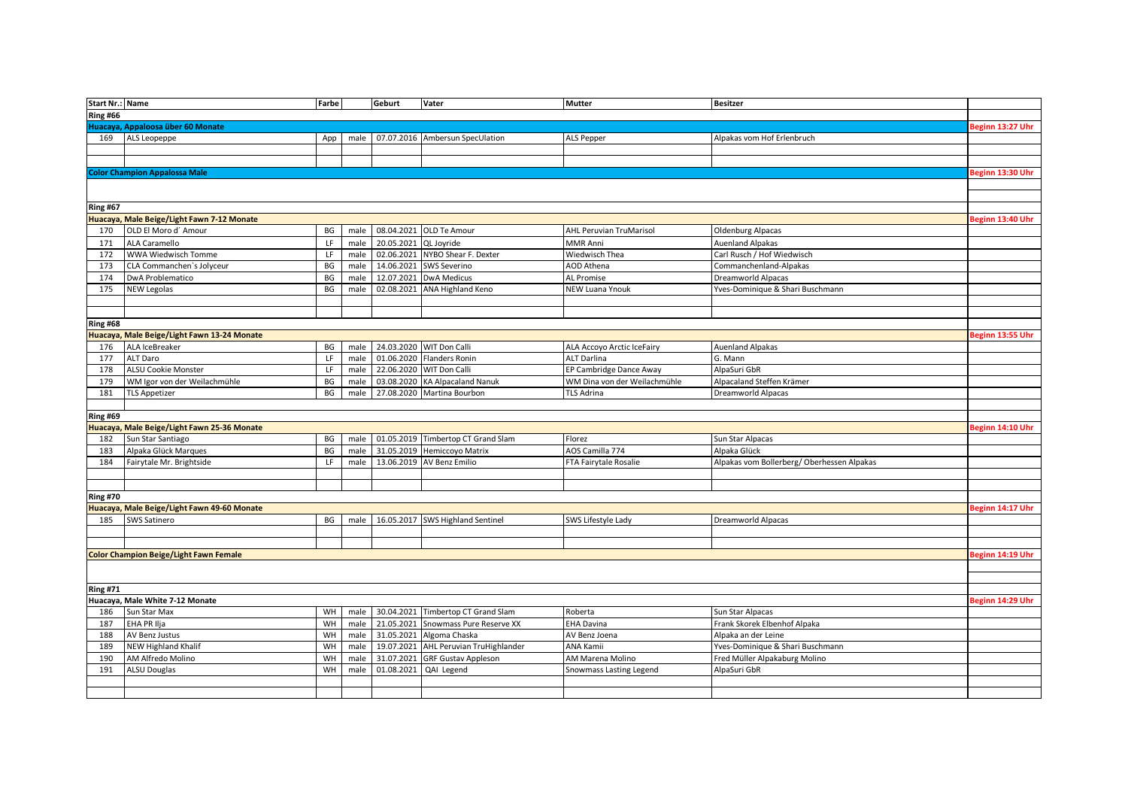| <b>Start Nr.: Name</b> |                                               | Farbe |      | Geburt                | Vater                                 | <b>Mutter</b>                  | <b>Besitzer</b>                           |                  |
|------------------------|-----------------------------------------------|-------|------|-----------------------|---------------------------------------|--------------------------------|-------------------------------------------|------------------|
| <b>Ring #66</b>        |                                               |       |      |                       |                                       |                                |                                           |                  |
|                        | Huacaya, Appaloosa über 60 Monate             |       |      |                       |                                       |                                |                                           | Beginn 13:27 Uhr |
| 169                    | ALS Leopeppe                                  | App   | male |                       | 07.07.2016 Ambersun SpecUlation       | ALS Pepper                     | Alpakas vom Hof Erlenbruch                |                  |
|                        |                                               |       |      |                       |                                       |                                |                                           |                  |
|                        |                                               |       |      |                       |                                       |                                |                                           |                  |
|                        | <b>Color Champion Appalossa Male</b>          |       |      |                       |                                       |                                |                                           | Beginn 13:30 Uhr |
|                        |                                               |       |      |                       |                                       |                                |                                           |                  |
|                        |                                               |       |      |                       |                                       |                                |                                           |                  |
| <b>Ring #67</b>        |                                               |       |      |                       |                                       |                                |                                           |                  |
|                        | Huacaya, Male Beige/Light Fawn 7-12 Monate    |       |      |                       |                                       |                                |                                           | Beginn 13:40 Uhr |
| 170                    | OLD El Moro d' Amour                          | BG    | male |                       | 08.04.2021 OLD Te Amour               | <b>AHL Peruvian TruMarisol</b> | <b>Oldenburg Alpacas</b>                  |                  |
| 171                    | ALA Caramello                                 | LF    | male | 20.05.2021 QL Joyride |                                       | MMR Anni                       | <b>Auenland Alpakas</b>                   |                  |
| 172                    | WWA Wiedwisch Tomme                           | LF    | male |                       | 02.06.2021 NYBO Shear F. Dexter       | Wiedwisch Thea                 | Carl Rusch / Hof Wiedwisch                |                  |
| 173                    | CLA Commanchen's Jolyceur                     | BG    | male |                       | 14.06.2021 SWS Severino               | <b>AOD Athena</b>              | Commanchenland-Alpakas                    |                  |
| 174                    | DwA Problematico                              | BG    | male |                       | 12.07.2021 DwA Medicus                | AL Promise                     | Dreamworld Alpacas                        |                  |
| 175                    | <b>NEW Legolas</b>                            | BG    | male |                       | 02.08.2021 ANA Highland Keno          | <b>NEW Luana Ynouk</b>         | Yves-Dominique & Shari Buschmann          |                  |
|                        |                                               |       |      |                       |                                       |                                |                                           |                  |
|                        |                                               |       |      |                       |                                       |                                |                                           |                  |
| <b>Ring #68</b>        |                                               |       |      |                       |                                       |                                |                                           |                  |
|                        | Huacaya, Male Beige/Light Fawn 13-24 Monate   |       |      |                       |                                       |                                |                                           | Beginn 13:55 Uhr |
| 176                    | ALA IceBreaker                                | BG    | male |                       | 24.03.2020 WIT Don Calli              | ALA Accoyo Arctic IceFairy     | <b>Auenland Alpakas</b>                   |                  |
| 177                    | ALT Daro                                      | LF    | male |                       | 01.06.2020 Flanders Ronin             | <b>ALT Darlina</b>             | G. Mann                                   |                  |
| 178                    | <b>ALSU Cookie Monster</b>                    | LF    | male |                       | 22.06.2020 WIT Don Calli              | EP Cambridge Dance Away        | AlpaSuri GbR                              |                  |
| 179                    | WM Igor von der Weilachmühle                  | BG    | male |                       | 03.08.2020 KA Alpacaland Nanuk        | WM Dina von der Weilachmühle   | Alpacaland Steffen Krämer                 |                  |
| 181                    | <b>TLS Appetizer</b>                          | BG    | male |                       | 27.08.2020 Martina Bourbon            | TLS Adrina                     | Dreamworld Alpacas                        |                  |
|                        |                                               |       |      |                       |                                       |                                |                                           |                  |
| <b>Ring #69</b>        |                                               |       |      |                       |                                       |                                |                                           |                  |
|                        | Huacaya, Male Beige/Light Fawn 25-36 Monate   |       |      |                       |                                       |                                |                                           | Beginn 14:10 Uhr |
| 182                    | Sun Star Santiago                             | BG    | male |                       | 01.05.2019 Timbertop CT Grand Slam    | Florez                         | Sun Star Alpacas                          |                  |
| 183                    | Alpaka Glück Marques                          | BG    | male | 31.05.2019            | Hemiccoyo Matrix                      | AOS Camilla 774                | Alpaka Glück                              |                  |
| 184                    | Fairytale Mr. Brightside                      | LF    | male | 13.06.2019            | AV Benz Emilio                        | FTA Fairytale Rosalie          | Alpakas vom Bollerberg/Oberhessen Alpakas |                  |
|                        |                                               |       |      |                       |                                       |                                |                                           |                  |
|                        |                                               |       |      |                       |                                       |                                |                                           |                  |
| <b>Ring #70</b>        |                                               |       |      |                       |                                       |                                |                                           |                  |
|                        | Huacaya, Male Beige/Light Fawn 49-60 Monate   |       |      |                       |                                       |                                |                                           | Beginn 14:17 Uhr |
| 185                    | SWS Satinero                                  | BG    | male |                       | 16.05.2017 SWS Highland Sentinel      | SWS Lifestyle Lady             | Dreamworld Alpacas                        |                  |
|                        |                                               |       |      |                       |                                       |                                |                                           |                  |
|                        |                                               |       |      |                       |                                       |                                |                                           |                  |
|                        | <b>Color Champion Beige/Light Fawn Female</b> |       |      |                       |                                       |                                |                                           | Beginn 14:19 Uhr |
|                        |                                               |       |      |                       |                                       |                                |                                           |                  |
|                        |                                               |       |      |                       |                                       |                                |                                           |                  |
| <b>Ring #71</b>        |                                               |       |      |                       |                                       |                                |                                           |                  |
|                        | Huacaya, Male White 7-12 Monate               |       |      |                       |                                       |                                |                                           | Beginn 14:29 Uhr |
| 186                    | Sun Star Max                                  | WH    | male |                       | 30.04.2021 Timbertop CT Grand Slam    | Roberta                        | Sun Star Alpacas                          |                  |
| 187                    | EHA PR Ilja                                   | WH    | male |                       | 21.05.2021 Snowmass Pure Reserve XX   | <b>EHA Davina</b>              | Frank Skorek Elbenhof Alpaka              |                  |
| 188                    | AV Benz Justus                                | WH    | male |                       | 31.05.2021 Algoma Chaska              | AV Benz Joena                  | Alpaka an der Leine                       |                  |
| 189                    | <b>NEW Highland Khalif</b>                    | WH    | male |                       | 19.07.2021 AHL Peruvian TruHighlander | ANA Kamii                      | Yves-Dominique & Shari Buschmann          |                  |
| 190                    | AM Alfredo Molino                             | WH    | male |                       | 31.07.2021 GRF Gustav Appleson        | AM Marena Molino               | Fred Müller Alpakaburg Molino             |                  |
| 191                    | <b>ALSU Douglas</b>                           | WH    | male | 01.08.2021            | QAI Legend                            | Snowmass Lasting Legend        | AlpaSuri GbR                              |                  |
|                        |                                               |       |      |                       |                                       |                                |                                           |                  |
|                        |                                               |       |      |                       |                                       |                                |                                           |                  |